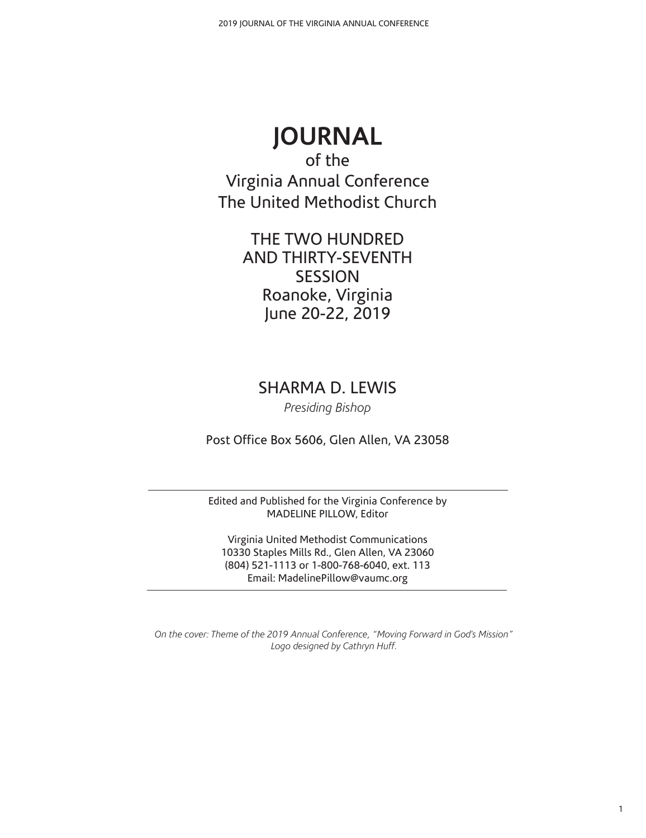# **JOURNAL**

of the Virginia Annual Conference The United Methodist Church

> THE TWO HUNDRED AND THIRTY-SEVENTH SESSION Roanoke, Virginia June 20-22, 2019

SHARMA D. LEWIS

*Presiding Bishop*

Post Office Box 5606, Glen Allen, VA 23058

Edited and Published for the Virginia Conference by MADELINE PILLOW, Editor

Virginia United Methodist Communications 10330 Staples Mills Rd., Glen Allen, VA 23060 (804) 521-1113 or 1-800-768-6040, ext. 113 Email: MadelinePillow@vaumc.org

*On the cover: Theme of the 2019 Annual Conference, "Moving Forward in God's Mission" Logo designed by Cathryn Huff.*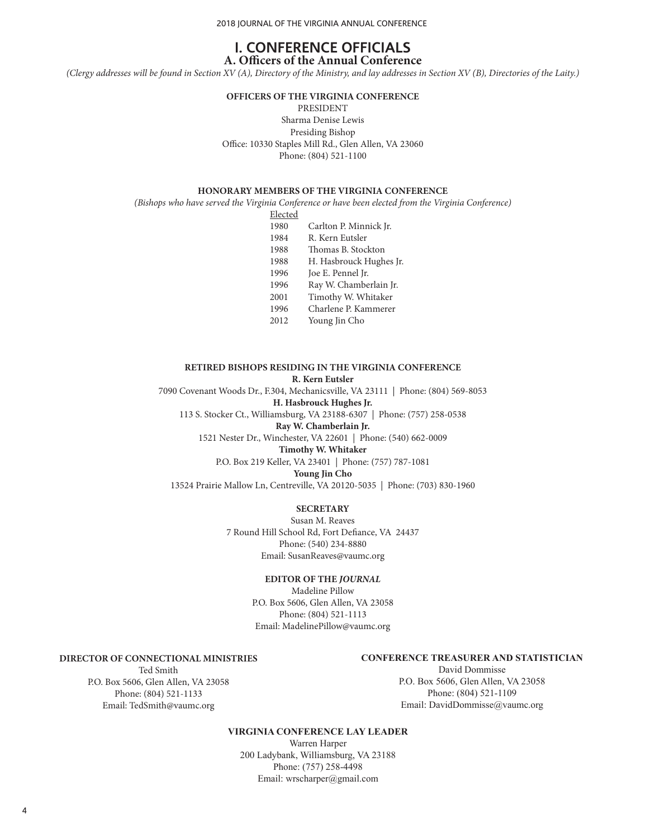2018 JOURNAL OF THE VIRGINIA ANNUAL CONFERENCE

#### **I. CONFERENCE OFFICIALS A. Officers of the Annual Conference**

*(Clergy addresses will be found in Section XV (A), Directory of the Ministry, and lay addresses in Section XV (B), Directories of the Laity.)*

**OFFICERS OF THE VIRGINIA CONFERENCE** PRESIDENT

Sharma Denise Lewis Presiding Bishop Office: 10330 Staples Mill Rd., Glen Allen, VA 23060 Phone: (804) 521-1100

#### **HONORARY MEMBERS OF THE VIRGINIA CONFERENCE**

*(Bishops who have served the Virginia Conference or have been elected from the Virginia Conference)*

Elected

- 1980 Carlton P. Minnick Jr.
- 1984 R. Kern Eutsler
- 1988 Thomas B. Stockton
- 1988 H. Hasbrouck Hughes Jr.
- 1996 Joe E. Pennel Jr.
- 1996 Ray W. Chamberlain Jr.
- 2001 Timothy W. Whitaker
- 1996 Charlene P. Kammerer
- 2012 Young Jin Cho

#### **RETIRED BISHOPS RESIDING IN THE VIRGINIA CONFERENCE R. Kern Eutsler**

7090 Covenant Woods Dr., F.304, Mechanicsville, VA 23111 | Phone: (804) 569-8053 **H. Hasbrouck Hughes Jr.**

113 S. Stocker Ct., Williamsburg, VA 23188-6307 | Phone: (757) 258-0538

**Ray W. Chamberlain Jr.**

1521 Nester Dr., Winchester, VA 22601 | Phone: (540) 662-0009

**Timothy W. Whitaker** P.O. Box 219 Keller, VA 23401 | Phone: (757) 787-1081

#### **Young Jin Cho**

13524 Prairie Mallow Ln, Centreville, VA 20120-5035 | Phone: (703) 830-1960

#### **SECRETARY**

Susan M. Reaves 7 Round Hill School Rd, Fort Defiance, VA 24437 Phone: (540) 234-8880 Email: SusanReaves@vaumc.org

#### **EDITOR OF THE** *JOURNAL*

Madeline Pillow P.O. Box 5606, Glen Allen, VA 23058 Phone: (804) 521-1113 Email: MadelinePillow@vaumc.org

#### **DIRECTOR OF CONNECTIONAL MINISTRIES**

Ted Smith P.O. Box 5606, Glen Allen, VA 23058 Phone: (804) 521-1133 Email: TedSmith@vaumc.org

#### **CONFERENCE TREASURER AND STATISTICIAN**

David Dommisse P.O. Box 5606, Glen Allen, VA 23058 Phone: (804) 521-1109 Email: DavidDommisse@vaumc.org

#### **VIRGINIA CONFERENCE LAY LEADER**

Warren Harper 200 Ladybank, Williamsburg, VA 23188 Phone: (757) 258-4498 Email: wrscharper@gmail.com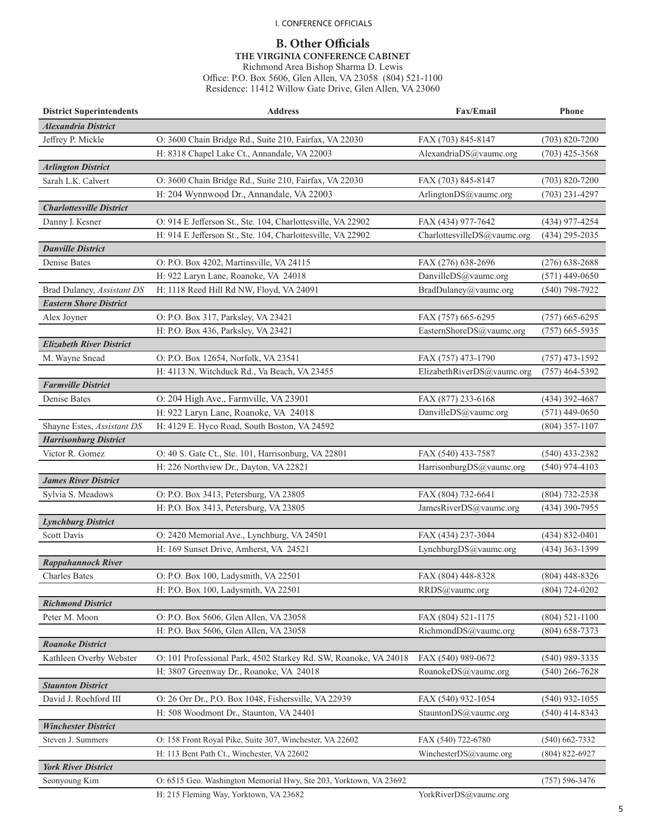#### I. CONFERENCE OFFICIALS

# **B. Other Officials**

**THE VIRGINIA CONFERENCE CABINET**

Richmond Area Bishop Sharma D. Lewis Office: P.O. Box 5606, Glen Allen, VA 23058 (804) 521-1100 Residence: 11412 Willow Gate Drive, Glen Allen, VA 23060

| <b>Alexandria District</b><br>Jeffrey P. Mickle<br>O: 3600 Chain Bridge Rd., Suite 210, Fairfax, VA 22030<br>FAX (703) 845-8147<br>$(703) 820 - 7200$<br>H: 8318 Chapel Lake Ct., Annandale, VA 22003<br>AlexandriaDS@vaumc.org<br>$(703)$ 425-3568<br><b>Arlington District</b><br>Sarah L.K. Calvert<br>O: 3600 Chain Bridge Rd., Suite 210, Fairfax, VA 22030<br>FAX (703) 845-8147<br>$(703) 820 - 7200$<br>H: 204 Wynnwood Dr., Annandale, VA 22003<br>$(703)$ 231-4297<br>ArlingtonDS@vaumc.org<br><b>Charlottesville District</b><br>O: 914 E Jefferson St., Ste. 104, Charlottesville, VA 22902<br>FAX (434) 977-7642<br>(434) 977-4254<br>Danny J. Kesner<br>H: 914 E Jefferson St., Ste. 104, Charlottesville, VA 22902<br>CharlottesvilleDS@vaumc.org<br>$(434)$ 295-2035<br><b>Danville District</b><br>Denise Bates<br>O: P.O. Box 4202, Martinsville, VA 24115<br>FAX (276) 638-2696<br>$(276)$ 638-2688<br>H: 922 Laryn Lane, Roanoke, VA 24018<br>DanvilleDS@vaumc.org<br>$(571)$ 449-0650<br>H: 1118 Reed Hill Rd NW, Floyd, VA 24091<br>$(540)$ 798-7922<br>Brad Dulaney, Assistant DS<br>BradDulaney@vaumc.org<br><b>Eastern Shore District</b><br>O: P.O. Box 317, Parksley, VA 23421<br>FAX (757) 665-6295<br>$(757)$ 665-6295<br>Alex Joyner<br>H: P.O. Box 436, Parksley, VA 23421<br>EasternShoreDS@vaumc.org<br>$(757)$ 665-5935<br><b>Elizabeth River District</b><br>M. Wayne Snead<br>O: P.O. Box 12654, Norfolk, VA 23541<br>$(757)$ 473-1592<br>FAX (757) 473-1790<br>H: 4113 N. Witchduck Rd., Va Beach, VA 23455<br>ElizabethRiverDS@vaumc.org<br>$(757)$ 464-5392<br><b>Farmville District</b><br>O: 204 High Ave., Farmville, VA 23901<br>Denise Bates<br>FAX (877) 233-6168<br>(434) 392-4687<br>H: 922 Laryn Lane, Roanoke, VA 24018<br>DanvilleDS@vaumc.org<br>$(571)$ 449-0650<br>Shayne Estes, Assistant DS<br>H: 4129 E. Hyco Road, South Boston, VA 24592<br>$(804)$ 357-1107<br><b>Harrisonburg District</b><br>Victor R. Gomez<br>O: 40 S. Gate Ct., Ste. 101, Harrisonburg, VA 22801<br>FAX (540) 433-7587<br>$(540)$ 433-2382<br>H: 226 Northview Dr., Dayton, VA 22821<br>HarrisonburgDS@vaumc.org<br>$(540)$ 974-4103<br><b>James River District</b><br>FAX (804) 732-6641<br>(804) 732-2538<br>Sylvia S. Meadows<br>O: P.O. Box 3413, Petersburg, VA 23805<br>JamesRiverDS@vaumc.org<br>H: P.O. Box 3413, Petersburg, VA 23805<br>(434) 390-7955<br><b>Lynchburg District</b><br>O: 2420 Memorial Ave., Lynchburg, VA 24501<br>$(434) 832 - 0401$<br>FAX (434) 237-3044<br>Scott Davis<br>H: 169 Sunset Drive, Amherst, VA 24521<br>LynchburgDS@vaumc.org<br>$(434)$ 363-1399<br><b>Rappahannock River</b><br><b>Charles Bates</b><br>O: P.O. Box 100, Ladysmith, VA 22501<br>FAX (804) 448-8328<br>$(804)$ 448-8326<br>H: P.O. Box 100, Ladysmith, VA 22501<br>RRDS@vaumc.org<br>$(804) 724 - 0202$<br><b>Richmond District</b><br>Peter M. Moon<br>O: P.O. Box 5606, Glen Allen, VA 23058<br>FAX (804) 521-1175<br>$(804) 521 - 1100$<br>RichmondDS@vaumc.org<br>$(804)$ 658-7373<br>H: P.O. Box 5606, Glen Allen, VA 23058<br><b>Roanoke District</b><br>O: 101 Professional Park, 4502 Starkey Rd. SW, Roanoke, VA 24018<br>$(540)$ 989-3335<br>Kathleen Overby Webster<br>FAX (540) 989-0672<br>$(540)$ 266-7628<br>H: 3807 Greenway Dr., Roanoke, VA 24018<br>RoanokeDS@vaumc.org<br><b>Staunton District</b><br>David J. Rochford III<br>O: 26 Orr Dr., P.O. Box 1048, Fishersville, VA 22939<br>FAX (540) 932-1054<br>$(540)$ 932-1055<br>StauntonDS@vaumc.org<br>$(540)$ 414-8343<br>H: 508 Woodmont Dr., Staunton, VA 24401<br><b>Winchester District</b><br>Steven J. Summers<br>O: 158 Front Royal Pike, Suite 307, Winchester, VA 22602<br>FAX (540) 722-6780<br>$(540) 662 - 7332$<br>$(804) 822 - 6927$<br>H: 113 Bent Path Ct., Winchester, VA 22602<br>WinchesterDS@vaumc.org<br><b>York River District</b><br>Seonyoung Kim<br>O: 6515 Geo. Washington Memorial Hwy, Ste 203, Yorktown, VA 23692<br>$(757) 596 - 3476$<br>H: 215 Fleming Way, Yorktown, VA 23682<br>YorkRiverDS@vaumc.org | <b>District Superintendents</b> | <b>Address</b> | Fax/Email | Phone |
|-------------------------------------------------------------------------------------------------------------------------------------------------------------------------------------------------------------------------------------------------------------------------------------------------------------------------------------------------------------------------------------------------------------------------------------------------------------------------------------------------------------------------------------------------------------------------------------------------------------------------------------------------------------------------------------------------------------------------------------------------------------------------------------------------------------------------------------------------------------------------------------------------------------------------------------------------------------------------------------------------------------------------------------------------------------------------------------------------------------------------------------------------------------------------------------------------------------------------------------------------------------------------------------------------------------------------------------------------------------------------------------------------------------------------------------------------------------------------------------------------------------------------------------------------------------------------------------------------------------------------------------------------------------------------------------------------------------------------------------------------------------------------------------------------------------------------------------------------------------------------------------------------------------------------------------------------------------------------------------------------------------------------------------------------------------------------------------------------------------------------------------------------------------------------------------------------------------------------------------------------------------------------------------------------------------------------------------------------------------------------------------------------------------------------------------------------------------------------------------------------------------------------------------------------------------------------------------------------------------------------------------------------------------------------------------------------------------------------------------------------------------------------------------------------------------------------------------------------------------------------------------------------------------------------------------------------------------------------------------------------------------------------------------------------------------------------------------------------------------------------------------------------------------------------------------------------------------------------------------------------------------------------------------------------------------------------------------------------------------------------------------------------------------------------------------------------------------------------------------------------------------------------------------------------------------------------------------------------------------------------------------------------------------------------------------------------------------------------------------------------------------------------------------------------------------------------------------------------------------------------------------------------------------------------------------------------------------------------------------------------------------------------------------------------------------|---------------------------------|----------------|-----------|-------|
|                                                                                                                                                                                                                                                                                                                                                                                                                                                                                                                                                                                                                                                                                                                                                                                                                                                                                                                                                                                                                                                                                                                                                                                                                                                                                                                                                                                                                                                                                                                                                                                                                                                                                                                                                                                                                                                                                                                                                                                                                                                                                                                                                                                                                                                                                                                                                                                                                                                                                                                                                                                                                                                                                                                                                                                                                                                                                                                                                                                                                                                                                                                                                                                                                                                                                                                                                                                                                                                                                                                                                                                                                                                                                                                                                                                                                                                                                                                                                                                                                                                             |                                 |                |           |       |
|                                                                                                                                                                                                                                                                                                                                                                                                                                                                                                                                                                                                                                                                                                                                                                                                                                                                                                                                                                                                                                                                                                                                                                                                                                                                                                                                                                                                                                                                                                                                                                                                                                                                                                                                                                                                                                                                                                                                                                                                                                                                                                                                                                                                                                                                                                                                                                                                                                                                                                                                                                                                                                                                                                                                                                                                                                                                                                                                                                                                                                                                                                                                                                                                                                                                                                                                                                                                                                                                                                                                                                                                                                                                                                                                                                                                                                                                                                                                                                                                                                                             |                                 |                |           |       |
|                                                                                                                                                                                                                                                                                                                                                                                                                                                                                                                                                                                                                                                                                                                                                                                                                                                                                                                                                                                                                                                                                                                                                                                                                                                                                                                                                                                                                                                                                                                                                                                                                                                                                                                                                                                                                                                                                                                                                                                                                                                                                                                                                                                                                                                                                                                                                                                                                                                                                                                                                                                                                                                                                                                                                                                                                                                                                                                                                                                                                                                                                                                                                                                                                                                                                                                                                                                                                                                                                                                                                                                                                                                                                                                                                                                                                                                                                                                                                                                                                                                             |                                 |                |           |       |
|                                                                                                                                                                                                                                                                                                                                                                                                                                                                                                                                                                                                                                                                                                                                                                                                                                                                                                                                                                                                                                                                                                                                                                                                                                                                                                                                                                                                                                                                                                                                                                                                                                                                                                                                                                                                                                                                                                                                                                                                                                                                                                                                                                                                                                                                                                                                                                                                                                                                                                                                                                                                                                                                                                                                                                                                                                                                                                                                                                                                                                                                                                                                                                                                                                                                                                                                                                                                                                                                                                                                                                                                                                                                                                                                                                                                                                                                                                                                                                                                                                                             |                                 |                |           |       |
|                                                                                                                                                                                                                                                                                                                                                                                                                                                                                                                                                                                                                                                                                                                                                                                                                                                                                                                                                                                                                                                                                                                                                                                                                                                                                                                                                                                                                                                                                                                                                                                                                                                                                                                                                                                                                                                                                                                                                                                                                                                                                                                                                                                                                                                                                                                                                                                                                                                                                                                                                                                                                                                                                                                                                                                                                                                                                                                                                                                                                                                                                                                                                                                                                                                                                                                                                                                                                                                                                                                                                                                                                                                                                                                                                                                                                                                                                                                                                                                                                                                             |                                 |                |           |       |
|                                                                                                                                                                                                                                                                                                                                                                                                                                                                                                                                                                                                                                                                                                                                                                                                                                                                                                                                                                                                                                                                                                                                                                                                                                                                                                                                                                                                                                                                                                                                                                                                                                                                                                                                                                                                                                                                                                                                                                                                                                                                                                                                                                                                                                                                                                                                                                                                                                                                                                                                                                                                                                                                                                                                                                                                                                                                                                                                                                                                                                                                                                                                                                                                                                                                                                                                                                                                                                                                                                                                                                                                                                                                                                                                                                                                                                                                                                                                                                                                                                                             |                                 |                |           |       |
|                                                                                                                                                                                                                                                                                                                                                                                                                                                                                                                                                                                                                                                                                                                                                                                                                                                                                                                                                                                                                                                                                                                                                                                                                                                                                                                                                                                                                                                                                                                                                                                                                                                                                                                                                                                                                                                                                                                                                                                                                                                                                                                                                                                                                                                                                                                                                                                                                                                                                                                                                                                                                                                                                                                                                                                                                                                                                                                                                                                                                                                                                                                                                                                                                                                                                                                                                                                                                                                                                                                                                                                                                                                                                                                                                                                                                                                                                                                                                                                                                                                             |                                 |                |           |       |
|                                                                                                                                                                                                                                                                                                                                                                                                                                                                                                                                                                                                                                                                                                                                                                                                                                                                                                                                                                                                                                                                                                                                                                                                                                                                                                                                                                                                                                                                                                                                                                                                                                                                                                                                                                                                                                                                                                                                                                                                                                                                                                                                                                                                                                                                                                                                                                                                                                                                                                                                                                                                                                                                                                                                                                                                                                                                                                                                                                                                                                                                                                                                                                                                                                                                                                                                                                                                                                                                                                                                                                                                                                                                                                                                                                                                                                                                                                                                                                                                                                                             |                                 |                |           |       |
|                                                                                                                                                                                                                                                                                                                                                                                                                                                                                                                                                                                                                                                                                                                                                                                                                                                                                                                                                                                                                                                                                                                                                                                                                                                                                                                                                                                                                                                                                                                                                                                                                                                                                                                                                                                                                                                                                                                                                                                                                                                                                                                                                                                                                                                                                                                                                                                                                                                                                                                                                                                                                                                                                                                                                                                                                                                                                                                                                                                                                                                                                                                                                                                                                                                                                                                                                                                                                                                                                                                                                                                                                                                                                                                                                                                                                                                                                                                                                                                                                                                             |                                 |                |           |       |
|                                                                                                                                                                                                                                                                                                                                                                                                                                                                                                                                                                                                                                                                                                                                                                                                                                                                                                                                                                                                                                                                                                                                                                                                                                                                                                                                                                                                                                                                                                                                                                                                                                                                                                                                                                                                                                                                                                                                                                                                                                                                                                                                                                                                                                                                                                                                                                                                                                                                                                                                                                                                                                                                                                                                                                                                                                                                                                                                                                                                                                                                                                                                                                                                                                                                                                                                                                                                                                                                                                                                                                                                                                                                                                                                                                                                                                                                                                                                                                                                                                                             |                                 |                |           |       |
|                                                                                                                                                                                                                                                                                                                                                                                                                                                                                                                                                                                                                                                                                                                                                                                                                                                                                                                                                                                                                                                                                                                                                                                                                                                                                                                                                                                                                                                                                                                                                                                                                                                                                                                                                                                                                                                                                                                                                                                                                                                                                                                                                                                                                                                                                                                                                                                                                                                                                                                                                                                                                                                                                                                                                                                                                                                                                                                                                                                                                                                                                                                                                                                                                                                                                                                                                                                                                                                                                                                                                                                                                                                                                                                                                                                                                                                                                                                                                                                                                                                             |                                 |                |           |       |
|                                                                                                                                                                                                                                                                                                                                                                                                                                                                                                                                                                                                                                                                                                                                                                                                                                                                                                                                                                                                                                                                                                                                                                                                                                                                                                                                                                                                                                                                                                                                                                                                                                                                                                                                                                                                                                                                                                                                                                                                                                                                                                                                                                                                                                                                                                                                                                                                                                                                                                                                                                                                                                                                                                                                                                                                                                                                                                                                                                                                                                                                                                                                                                                                                                                                                                                                                                                                                                                                                                                                                                                                                                                                                                                                                                                                                                                                                                                                                                                                                                                             |                                 |                |           |       |
|                                                                                                                                                                                                                                                                                                                                                                                                                                                                                                                                                                                                                                                                                                                                                                                                                                                                                                                                                                                                                                                                                                                                                                                                                                                                                                                                                                                                                                                                                                                                                                                                                                                                                                                                                                                                                                                                                                                                                                                                                                                                                                                                                                                                                                                                                                                                                                                                                                                                                                                                                                                                                                                                                                                                                                                                                                                                                                                                                                                                                                                                                                                                                                                                                                                                                                                                                                                                                                                                                                                                                                                                                                                                                                                                                                                                                                                                                                                                                                                                                                                             |                                 |                |           |       |
|                                                                                                                                                                                                                                                                                                                                                                                                                                                                                                                                                                                                                                                                                                                                                                                                                                                                                                                                                                                                                                                                                                                                                                                                                                                                                                                                                                                                                                                                                                                                                                                                                                                                                                                                                                                                                                                                                                                                                                                                                                                                                                                                                                                                                                                                                                                                                                                                                                                                                                                                                                                                                                                                                                                                                                                                                                                                                                                                                                                                                                                                                                                                                                                                                                                                                                                                                                                                                                                                                                                                                                                                                                                                                                                                                                                                                                                                                                                                                                                                                                                             |                                 |                |           |       |
|                                                                                                                                                                                                                                                                                                                                                                                                                                                                                                                                                                                                                                                                                                                                                                                                                                                                                                                                                                                                                                                                                                                                                                                                                                                                                                                                                                                                                                                                                                                                                                                                                                                                                                                                                                                                                                                                                                                                                                                                                                                                                                                                                                                                                                                                                                                                                                                                                                                                                                                                                                                                                                                                                                                                                                                                                                                                                                                                                                                                                                                                                                                                                                                                                                                                                                                                                                                                                                                                                                                                                                                                                                                                                                                                                                                                                                                                                                                                                                                                                                                             |                                 |                |           |       |
|                                                                                                                                                                                                                                                                                                                                                                                                                                                                                                                                                                                                                                                                                                                                                                                                                                                                                                                                                                                                                                                                                                                                                                                                                                                                                                                                                                                                                                                                                                                                                                                                                                                                                                                                                                                                                                                                                                                                                                                                                                                                                                                                                                                                                                                                                                                                                                                                                                                                                                                                                                                                                                                                                                                                                                                                                                                                                                                                                                                                                                                                                                                                                                                                                                                                                                                                                                                                                                                                                                                                                                                                                                                                                                                                                                                                                                                                                                                                                                                                                                                             |                                 |                |           |       |
|                                                                                                                                                                                                                                                                                                                                                                                                                                                                                                                                                                                                                                                                                                                                                                                                                                                                                                                                                                                                                                                                                                                                                                                                                                                                                                                                                                                                                                                                                                                                                                                                                                                                                                                                                                                                                                                                                                                                                                                                                                                                                                                                                                                                                                                                                                                                                                                                                                                                                                                                                                                                                                                                                                                                                                                                                                                                                                                                                                                                                                                                                                                                                                                                                                                                                                                                                                                                                                                                                                                                                                                                                                                                                                                                                                                                                                                                                                                                                                                                                                                             |                                 |                |           |       |
|                                                                                                                                                                                                                                                                                                                                                                                                                                                                                                                                                                                                                                                                                                                                                                                                                                                                                                                                                                                                                                                                                                                                                                                                                                                                                                                                                                                                                                                                                                                                                                                                                                                                                                                                                                                                                                                                                                                                                                                                                                                                                                                                                                                                                                                                                                                                                                                                                                                                                                                                                                                                                                                                                                                                                                                                                                                                                                                                                                                                                                                                                                                                                                                                                                                                                                                                                                                                                                                                                                                                                                                                                                                                                                                                                                                                                                                                                                                                                                                                                                                             |                                 |                |           |       |
|                                                                                                                                                                                                                                                                                                                                                                                                                                                                                                                                                                                                                                                                                                                                                                                                                                                                                                                                                                                                                                                                                                                                                                                                                                                                                                                                                                                                                                                                                                                                                                                                                                                                                                                                                                                                                                                                                                                                                                                                                                                                                                                                                                                                                                                                                                                                                                                                                                                                                                                                                                                                                                                                                                                                                                                                                                                                                                                                                                                                                                                                                                                                                                                                                                                                                                                                                                                                                                                                                                                                                                                                                                                                                                                                                                                                                                                                                                                                                                                                                                                             |                                 |                |           |       |
|                                                                                                                                                                                                                                                                                                                                                                                                                                                                                                                                                                                                                                                                                                                                                                                                                                                                                                                                                                                                                                                                                                                                                                                                                                                                                                                                                                                                                                                                                                                                                                                                                                                                                                                                                                                                                                                                                                                                                                                                                                                                                                                                                                                                                                                                                                                                                                                                                                                                                                                                                                                                                                                                                                                                                                                                                                                                                                                                                                                                                                                                                                                                                                                                                                                                                                                                                                                                                                                                                                                                                                                                                                                                                                                                                                                                                                                                                                                                                                                                                                                             |                                 |                |           |       |
|                                                                                                                                                                                                                                                                                                                                                                                                                                                                                                                                                                                                                                                                                                                                                                                                                                                                                                                                                                                                                                                                                                                                                                                                                                                                                                                                                                                                                                                                                                                                                                                                                                                                                                                                                                                                                                                                                                                                                                                                                                                                                                                                                                                                                                                                                                                                                                                                                                                                                                                                                                                                                                                                                                                                                                                                                                                                                                                                                                                                                                                                                                                                                                                                                                                                                                                                                                                                                                                                                                                                                                                                                                                                                                                                                                                                                                                                                                                                                                                                                                                             |                                 |                |           |       |
|                                                                                                                                                                                                                                                                                                                                                                                                                                                                                                                                                                                                                                                                                                                                                                                                                                                                                                                                                                                                                                                                                                                                                                                                                                                                                                                                                                                                                                                                                                                                                                                                                                                                                                                                                                                                                                                                                                                                                                                                                                                                                                                                                                                                                                                                                                                                                                                                                                                                                                                                                                                                                                                                                                                                                                                                                                                                                                                                                                                                                                                                                                                                                                                                                                                                                                                                                                                                                                                                                                                                                                                                                                                                                                                                                                                                                                                                                                                                                                                                                                                             |                                 |                |           |       |
|                                                                                                                                                                                                                                                                                                                                                                                                                                                                                                                                                                                                                                                                                                                                                                                                                                                                                                                                                                                                                                                                                                                                                                                                                                                                                                                                                                                                                                                                                                                                                                                                                                                                                                                                                                                                                                                                                                                                                                                                                                                                                                                                                                                                                                                                                                                                                                                                                                                                                                                                                                                                                                                                                                                                                                                                                                                                                                                                                                                                                                                                                                                                                                                                                                                                                                                                                                                                                                                                                                                                                                                                                                                                                                                                                                                                                                                                                                                                                                                                                                                             |                                 |                |           |       |
|                                                                                                                                                                                                                                                                                                                                                                                                                                                                                                                                                                                                                                                                                                                                                                                                                                                                                                                                                                                                                                                                                                                                                                                                                                                                                                                                                                                                                                                                                                                                                                                                                                                                                                                                                                                                                                                                                                                                                                                                                                                                                                                                                                                                                                                                                                                                                                                                                                                                                                                                                                                                                                                                                                                                                                                                                                                                                                                                                                                                                                                                                                                                                                                                                                                                                                                                                                                                                                                                                                                                                                                                                                                                                                                                                                                                                                                                                                                                                                                                                                                             |                                 |                |           |       |
|                                                                                                                                                                                                                                                                                                                                                                                                                                                                                                                                                                                                                                                                                                                                                                                                                                                                                                                                                                                                                                                                                                                                                                                                                                                                                                                                                                                                                                                                                                                                                                                                                                                                                                                                                                                                                                                                                                                                                                                                                                                                                                                                                                                                                                                                                                                                                                                                                                                                                                                                                                                                                                                                                                                                                                                                                                                                                                                                                                                                                                                                                                                                                                                                                                                                                                                                                                                                                                                                                                                                                                                                                                                                                                                                                                                                                                                                                                                                                                                                                                                             |                                 |                |           |       |
|                                                                                                                                                                                                                                                                                                                                                                                                                                                                                                                                                                                                                                                                                                                                                                                                                                                                                                                                                                                                                                                                                                                                                                                                                                                                                                                                                                                                                                                                                                                                                                                                                                                                                                                                                                                                                                                                                                                                                                                                                                                                                                                                                                                                                                                                                                                                                                                                                                                                                                                                                                                                                                                                                                                                                                                                                                                                                                                                                                                                                                                                                                                                                                                                                                                                                                                                                                                                                                                                                                                                                                                                                                                                                                                                                                                                                                                                                                                                                                                                                                                             |                                 |                |           |       |
|                                                                                                                                                                                                                                                                                                                                                                                                                                                                                                                                                                                                                                                                                                                                                                                                                                                                                                                                                                                                                                                                                                                                                                                                                                                                                                                                                                                                                                                                                                                                                                                                                                                                                                                                                                                                                                                                                                                                                                                                                                                                                                                                                                                                                                                                                                                                                                                                                                                                                                                                                                                                                                                                                                                                                                                                                                                                                                                                                                                                                                                                                                                                                                                                                                                                                                                                                                                                                                                                                                                                                                                                                                                                                                                                                                                                                                                                                                                                                                                                                                                             |                                 |                |           |       |
|                                                                                                                                                                                                                                                                                                                                                                                                                                                                                                                                                                                                                                                                                                                                                                                                                                                                                                                                                                                                                                                                                                                                                                                                                                                                                                                                                                                                                                                                                                                                                                                                                                                                                                                                                                                                                                                                                                                                                                                                                                                                                                                                                                                                                                                                                                                                                                                                                                                                                                                                                                                                                                                                                                                                                                                                                                                                                                                                                                                                                                                                                                                                                                                                                                                                                                                                                                                                                                                                                                                                                                                                                                                                                                                                                                                                                                                                                                                                                                                                                                                             |                                 |                |           |       |
|                                                                                                                                                                                                                                                                                                                                                                                                                                                                                                                                                                                                                                                                                                                                                                                                                                                                                                                                                                                                                                                                                                                                                                                                                                                                                                                                                                                                                                                                                                                                                                                                                                                                                                                                                                                                                                                                                                                                                                                                                                                                                                                                                                                                                                                                                                                                                                                                                                                                                                                                                                                                                                                                                                                                                                                                                                                                                                                                                                                                                                                                                                                                                                                                                                                                                                                                                                                                                                                                                                                                                                                                                                                                                                                                                                                                                                                                                                                                                                                                                                                             |                                 |                |           |       |
|                                                                                                                                                                                                                                                                                                                                                                                                                                                                                                                                                                                                                                                                                                                                                                                                                                                                                                                                                                                                                                                                                                                                                                                                                                                                                                                                                                                                                                                                                                                                                                                                                                                                                                                                                                                                                                                                                                                                                                                                                                                                                                                                                                                                                                                                                                                                                                                                                                                                                                                                                                                                                                                                                                                                                                                                                                                                                                                                                                                                                                                                                                                                                                                                                                                                                                                                                                                                                                                                                                                                                                                                                                                                                                                                                                                                                                                                                                                                                                                                                                                             |                                 |                |           |       |
|                                                                                                                                                                                                                                                                                                                                                                                                                                                                                                                                                                                                                                                                                                                                                                                                                                                                                                                                                                                                                                                                                                                                                                                                                                                                                                                                                                                                                                                                                                                                                                                                                                                                                                                                                                                                                                                                                                                                                                                                                                                                                                                                                                                                                                                                                                                                                                                                                                                                                                                                                                                                                                                                                                                                                                                                                                                                                                                                                                                                                                                                                                                                                                                                                                                                                                                                                                                                                                                                                                                                                                                                                                                                                                                                                                                                                                                                                                                                                                                                                                                             |                                 |                |           |       |
|                                                                                                                                                                                                                                                                                                                                                                                                                                                                                                                                                                                                                                                                                                                                                                                                                                                                                                                                                                                                                                                                                                                                                                                                                                                                                                                                                                                                                                                                                                                                                                                                                                                                                                                                                                                                                                                                                                                                                                                                                                                                                                                                                                                                                                                                                                                                                                                                                                                                                                                                                                                                                                                                                                                                                                                                                                                                                                                                                                                                                                                                                                                                                                                                                                                                                                                                                                                                                                                                                                                                                                                                                                                                                                                                                                                                                                                                                                                                                                                                                                                             |                                 |                |           |       |
|                                                                                                                                                                                                                                                                                                                                                                                                                                                                                                                                                                                                                                                                                                                                                                                                                                                                                                                                                                                                                                                                                                                                                                                                                                                                                                                                                                                                                                                                                                                                                                                                                                                                                                                                                                                                                                                                                                                                                                                                                                                                                                                                                                                                                                                                                                                                                                                                                                                                                                                                                                                                                                                                                                                                                                                                                                                                                                                                                                                                                                                                                                                                                                                                                                                                                                                                                                                                                                                                                                                                                                                                                                                                                                                                                                                                                                                                                                                                                                                                                                                             |                                 |                |           |       |
|                                                                                                                                                                                                                                                                                                                                                                                                                                                                                                                                                                                                                                                                                                                                                                                                                                                                                                                                                                                                                                                                                                                                                                                                                                                                                                                                                                                                                                                                                                                                                                                                                                                                                                                                                                                                                                                                                                                                                                                                                                                                                                                                                                                                                                                                                                                                                                                                                                                                                                                                                                                                                                                                                                                                                                                                                                                                                                                                                                                                                                                                                                                                                                                                                                                                                                                                                                                                                                                                                                                                                                                                                                                                                                                                                                                                                                                                                                                                                                                                                                                             |                                 |                |           |       |
|                                                                                                                                                                                                                                                                                                                                                                                                                                                                                                                                                                                                                                                                                                                                                                                                                                                                                                                                                                                                                                                                                                                                                                                                                                                                                                                                                                                                                                                                                                                                                                                                                                                                                                                                                                                                                                                                                                                                                                                                                                                                                                                                                                                                                                                                                                                                                                                                                                                                                                                                                                                                                                                                                                                                                                                                                                                                                                                                                                                                                                                                                                                                                                                                                                                                                                                                                                                                                                                                                                                                                                                                                                                                                                                                                                                                                                                                                                                                                                                                                                                             |                                 |                |           |       |
|                                                                                                                                                                                                                                                                                                                                                                                                                                                                                                                                                                                                                                                                                                                                                                                                                                                                                                                                                                                                                                                                                                                                                                                                                                                                                                                                                                                                                                                                                                                                                                                                                                                                                                                                                                                                                                                                                                                                                                                                                                                                                                                                                                                                                                                                                                                                                                                                                                                                                                                                                                                                                                                                                                                                                                                                                                                                                                                                                                                                                                                                                                                                                                                                                                                                                                                                                                                                                                                                                                                                                                                                                                                                                                                                                                                                                                                                                                                                                                                                                                                             |                                 |                |           |       |
|                                                                                                                                                                                                                                                                                                                                                                                                                                                                                                                                                                                                                                                                                                                                                                                                                                                                                                                                                                                                                                                                                                                                                                                                                                                                                                                                                                                                                                                                                                                                                                                                                                                                                                                                                                                                                                                                                                                                                                                                                                                                                                                                                                                                                                                                                                                                                                                                                                                                                                                                                                                                                                                                                                                                                                                                                                                                                                                                                                                                                                                                                                                                                                                                                                                                                                                                                                                                                                                                                                                                                                                                                                                                                                                                                                                                                                                                                                                                                                                                                                                             |                                 |                |           |       |
|                                                                                                                                                                                                                                                                                                                                                                                                                                                                                                                                                                                                                                                                                                                                                                                                                                                                                                                                                                                                                                                                                                                                                                                                                                                                                                                                                                                                                                                                                                                                                                                                                                                                                                                                                                                                                                                                                                                                                                                                                                                                                                                                                                                                                                                                                                                                                                                                                                                                                                                                                                                                                                                                                                                                                                                                                                                                                                                                                                                                                                                                                                                                                                                                                                                                                                                                                                                                                                                                                                                                                                                                                                                                                                                                                                                                                                                                                                                                                                                                                                                             |                                 |                |           |       |
|                                                                                                                                                                                                                                                                                                                                                                                                                                                                                                                                                                                                                                                                                                                                                                                                                                                                                                                                                                                                                                                                                                                                                                                                                                                                                                                                                                                                                                                                                                                                                                                                                                                                                                                                                                                                                                                                                                                                                                                                                                                                                                                                                                                                                                                                                                                                                                                                                                                                                                                                                                                                                                                                                                                                                                                                                                                                                                                                                                                                                                                                                                                                                                                                                                                                                                                                                                                                                                                                                                                                                                                                                                                                                                                                                                                                                                                                                                                                                                                                                                                             |                                 |                |           |       |
|                                                                                                                                                                                                                                                                                                                                                                                                                                                                                                                                                                                                                                                                                                                                                                                                                                                                                                                                                                                                                                                                                                                                                                                                                                                                                                                                                                                                                                                                                                                                                                                                                                                                                                                                                                                                                                                                                                                                                                                                                                                                                                                                                                                                                                                                                                                                                                                                                                                                                                                                                                                                                                                                                                                                                                                                                                                                                                                                                                                                                                                                                                                                                                                                                                                                                                                                                                                                                                                                                                                                                                                                                                                                                                                                                                                                                                                                                                                                                                                                                                                             |                                 |                |           |       |
|                                                                                                                                                                                                                                                                                                                                                                                                                                                                                                                                                                                                                                                                                                                                                                                                                                                                                                                                                                                                                                                                                                                                                                                                                                                                                                                                                                                                                                                                                                                                                                                                                                                                                                                                                                                                                                                                                                                                                                                                                                                                                                                                                                                                                                                                                                                                                                                                                                                                                                                                                                                                                                                                                                                                                                                                                                                                                                                                                                                                                                                                                                                                                                                                                                                                                                                                                                                                                                                                                                                                                                                                                                                                                                                                                                                                                                                                                                                                                                                                                                                             |                                 |                |           |       |
|                                                                                                                                                                                                                                                                                                                                                                                                                                                                                                                                                                                                                                                                                                                                                                                                                                                                                                                                                                                                                                                                                                                                                                                                                                                                                                                                                                                                                                                                                                                                                                                                                                                                                                                                                                                                                                                                                                                                                                                                                                                                                                                                                                                                                                                                                                                                                                                                                                                                                                                                                                                                                                                                                                                                                                                                                                                                                                                                                                                                                                                                                                                                                                                                                                                                                                                                                                                                                                                                                                                                                                                                                                                                                                                                                                                                                                                                                                                                                                                                                                                             |                                 |                |           |       |
|                                                                                                                                                                                                                                                                                                                                                                                                                                                                                                                                                                                                                                                                                                                                                                                                                                                                                                                                                                                                                                                                                                                                                                                                                                                                                                                                                                                                                                                                                                                                                                                                                                                                                                                                                                                                                                                                                                                                                                                                                                                                                                                                                                                                                                                                                                                                                                                                                                                                                                                                                                                                                                                                                                                                                                                                                                                                                                                                                                                                                                                                                                                                                                                                                                                                                                                                                                                                                                                                                                                                                                                                                                                                                                                                                                                                                                                                                                                                                                                                                                                             |                                 |                |           |       |
|                                                                                                                                                                                                                                                                                                                                                                                                                                                                                                                                                                                                                                                                                                                                                                                                                                                                                                                                                                                                                                                                                                                                                                                                                                                                                                                                                                                                                                                                                                                                                                                                                                                                                                                                                                                                                                                                                                                                                                                                                                                                                                                                                                                                                                                                                                                                                                                                                                                                                                                                                                                                                                                                                                                                                                                                                                                                                                                                                                                                                                                                                                                                                                                                                                                                                                                                                                                                                                                                                                                                                                                                                                                                                                                                                                                                                                                                                                                                                                                                                                                             |                                 |                |           |       |
|                                                                                                                                                                                                                                                                                                                                                                                                                                                                                                                                                                                                                                                                                                                                                                                                                                                                                                                                                                                                                                                                                                                                                                                                                                                                                                                                                                                                                                                                                                                                                                                                                                                                                                                                                                                                                                                                                                                                                                                                                                                                                                                                                                                                                                                                                                                                                                                                                                                                                                                                                                                                                                                                                                                                                                                                                                                                                                                                                                                                                                                                                                                                                                                                                                                                                                                                                                                                                                                                                                                                                                                                                                                                                                                                                                                                                                                                                                                                                                                                                                                             |                                 |                |           |       |
|                                                                                                                                                                                                                                                                                                                                                                                                                                                                                                                                                                                                                                                                                                                                                                                                                                                                                                                                                                                                                                                                                                                                                                                                                                                                                                                                                                                                                                                                                                                                                                                                                                                                                                                                                                                                                                                                                                                                                                                                                                                                                                                                                                                                                                                                                                                                                                                                                                                                                                                                                                                                                                                                                                                                                                                                                                                                                                                                                                                                                                                                                                                                                                                                                                                                                                                                                                                                                                                                                                                                                                                                                                                                                                                                                                                                                                                                                                                                                                                                                                                             |                                 |                |           |       |
|                                                                                                                                                                                                                                                                                                                                                                                                                                                                                                                                                                                                                                                                                                                                                                                                                                                                                                                                                                                                                                                                                                                                                                                                                                                                                                                                                                                                                                                                                                                                                                                                                                                                                                                                                                                                                                                                                                                                                                                                                                                                                                                                                                                                                                                                                                                                                                                                                                                                                                                                                                                                                                                                                                                                                                                                                                                                                                                                                                                                                                                                                                                                                                                                                                                                                                                                                                                                                                                                                                                                                                                                                                                                                                                                                                                                                                                                                                                                                                                                                                                             |                                 |                |           |       |
|                                                                                                                                                                                                                                                                                                                                                                                                                                                                                                                                                                                                                                                                                                                                                                                                                                                                                                                                                                                                                                                                                                                                                                                                                                                                                                                                                                                                                                                                                                                                                                                                                                                                                                                                                                                                                                                                                                                                                                                                                                                                                                                                                                                                                                                                                                                                                                                                                                                                                                                                                                                                                                                                                                                                                                                                                                                                                                                                                                                                                                                                                                                                                                                                                                                                                                                                                                                                                                                                                                                                                                                                                                                                                                                                                                                                                                                                                                                                                                                                                                                             |                                 |                |           |       |
|                                                                                                                                                                                                                                                                                                                                                                                                                                                                                                                                                                                                                                                                                                                                                                                                                                                                                                                                                                                                                                                                                                                                                                                                                                                                                                                                                                                                                                                                                                                                                                                                                                                                                                                                                                                                                                                                                                                                                                                                                                                                                                                                                                                                                                                                                                                                                                                                                                                                                                                                                                                                                                                                                                                                                                                                                                                                                                                                                                                                                                                                                                                                                                                                                                                                                                                                                                                                                                                                                                                                                                                                                                                                                                                                                                                                                                                                                                                                                                                                                                                             |                                 |                |           |       |
|                                                                                                                                                                                                                                                                                                                                                                                                                                                                                                                                                                                                                                                                                                                                                                                                                                                                                                                                                                                                                                                                                                                                                                                                                                                                                                                                                                                                                                                                                                                                                                                                                                                                                                                                                                                                                                                                                                                                                                                                                                                                                                                                                                                                                                                                                                                                                                                                                                                                                                                                                                                                                                                                                                                                                                                                                                                                                                                                                                                                                                                                                                                                                                                                                                                                                                                                                                                                                                                                                                                                                                                                                                                                                                                                                                                                                                                                                                                                                                                                                                                             |                                 |                |           |       |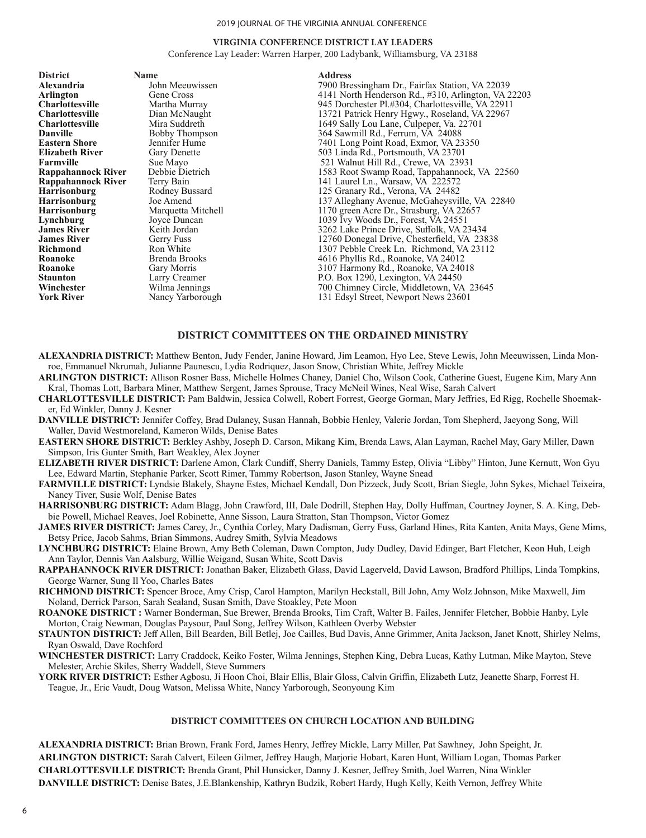#### **VIRGINIA CONFERENCE DISTRICT LAY LEADERS**

Conference Lay Leader: Warren Harper, 200 Ladybank, Williamsburg, VA 23188

**District Name Address** 

**Alexandria** John Meeuwissen 1900 Bressingham Dr., Fairfax Station, VA 22039<br> **Arlington** Gene Cross 14141 North Henderson Rd., #310, Arlington, VA 2 **Arlington**<br>
Gene Cross 4141 North Henderson Rd., #310, Arlington, VA 22203<br>
22911 945 Dorchester Pl.#304. Charlottesville. VA 22911 **Charlottesville** Martha Murray 945 Dorchester Pl.#304, Charlottesville, VA 22911 **Charlottesville** Dian McNaught 13721 Patrick Henry Hgwy., Roseland, VA 22967<br> **Charlottesville** Mira Suddreth 1649 Sally Lou Lane, Culpeper, Va. 22701 **Charlottesville** Mira Suddreth 1649 Sally Lou Lane, Culpeper, Va. 22701<br> **Danville** Bobby Thompson 364 Sawmill Rd., Ferrum, VA 24088 **Danville** Bobby Thompson 364 Sawmill Rd., Ferrum, VA 24088<br> **Eastern Shore** Jennifer Hume 7401 Long Point Road. Exmor. VA 23 **Eastern Shore** Jennifer Hume 7401 Long Point Road, Exmor, VA 23350<br> **Elizabeth River** Gary Denette 503 Linda Rd., Portsmouth, VA 23701 **Elizabeth River** Gary Denette 503 Linda Rd., Portsmouth, VA 23701<br> **Farmville** Sue Mayo 521 Walnut Hill Rd., Crewe, VA 2399 **Farmville** Sue Mayo 521 Walnut Hill Rd., Crewe, VA 23931 **Rappahannock River** Debbie Dietrich 521 Walnut Hill Rd., Crewe, VA 23931 **Rappahannock River** Debbie Dietrich 1583 Root Swamp Road, Tappahannock, VA 22560<br> **Rappahannock River** Terry Bain 141 Laurel Ln., Warsaw, VA 222572 **Rappahannock River** Terry Bain 141 Laurel Ln., Warsaw, VA 222572<br> **Harrisonburg** Rodney Bussard 125 Granary Rd., Verona, VA 24482 **Harrisonburg** Rodney Bussard 125 Granary Rd., Verona, VA 24482<br> **Harrisonburg** Joe Amend 137 Alleghany Avenue, McGaheysvil **Harrisonburg** Joe Amend 137 Alleghany Avenue, McGaheysville, VA 22840<br> **Harrisonburg** Marquetta Mitchell 1170 green Acre Dr., Strasburg, VA 22657 **Harrisonburg** Marquetta Mitchell 1170 green Acre Dr., Strasburg, VA 22657<br> **Lynchburg** Joyce Duncan 1039 Ivy Woods Dr., Forest, VA 24551 **Lynchburg** Joyce Duncan 1039 Ivy Woods Dr., Forest, VA 24551<br> **James River** Keith Jordan 1039 Ivy Woods Dr., Forest, VA 24551 3262 Lake Prince Drive, Suffolk, VA 23434 **James River** Gerry Fuss 12760 Donegal Drive, Chesterfield, VA 23838<br> **Richmond** Ron White 1307 Pebble Creek Ln. Richmond, VA 23112 **Richmond** Ron White 1307 Pebble Creek Ln. Richmond, VA 23112<br> **Roanoke** Brenda Brooks 1698 Phyllis Rd., Roanoke, VA 24012 **Roanoke** Brenda Brooks 1646 Brooks 1646 Brooke, VA 24012<br> **Roanoke** Gary Morris 1646 Brooke, VA 240 **Roanoke** Gary Morris 3107 Harmony Rd., Roanoke, VA 24018<br> **Staunton** Larry Creamer **1988** P.O. Box 1290, Lexington, VA 24450 Larry Creamer **State 20 Example 2018** P.O. Box 1290, Lexington, VA 24450<br>
Wilma Jennings 700 Chimney Circle, Middletown, VA **Winchester** Wilma Jennings 700 Chimney Circle, Middletown, VA 23645<br> **York River** Nancy Yarborough 131 Edsyl Street, Newport News 23601 131 Edsyl Street, Newport News 23601

#### **DISTRICT COMMITTEES ON THE ORDAINED MINISTRY**

- **ALEXANDRIA DISTRICT:** Matthew Benton, Judy Fender, Janine Howard, Jim Leamon, Hyo Lee, Steve Lewis, John Meeuwissen, Linda Monroe, Emmanuel Nkrumah, Julianne Paunescu, Lydia Rodriquez, Jason Snow, Christian White, Jeffrey Mickle
- **ARLINGTON DISTRICT:** Allison Rosner Bass, Michelle Holmes Chaney, Daniel Cho, Wilson Cook, Catherine Guest, Eugene Kim, Mary Ann Kral, Thomas Lott, Barbara Miner, Matthew Sergent, James Sprouse, Tracy McNeil Wines, Neal Wise, Sarah Calvert
- **CHARLOTTESVILLE DISTRICT:** Pam Baldwin, Jessica Colwell, Robert Forrest, George Gorman, Mary Jeffries, Ed Rigg, Rochelle Shoemaker, Ed Winkler, Danny J. Kesner
- **DANVILLE DISTRICT:** Jennifer Coffey, Brad Dulaney, Susan Hannah, Bobbie Henley, Valerie Jordan, Tom Shepherd, Jaeyong Song, Will Waller, David Westmoreland, Kameron Wilds, Denise Bates
- **EASTERN SHORE DISTRICT:** Berkley Ashby, Joseph D. Carson, Mikang Kim, Brenda Laws, Alan Layman, Rachel May, Gary Miller, Dawn Simpson, Iris Gunter Smith, Bart Weakley, Alex Joyner
- **ELIZABETH RIVER DISTRICT:** Darlene Amon, Clark Cundiff, Sherry Daniels, Tammy Estep, Olivia "Libby" Hinton, June Kernutt, Won Gyu Lee, Edward Martin, Stephanie Parker, Scott Rimer, Tammy Robertson, Jason Stanley, Wayne Snead
- **FARMVILLE DISTRICT:** Lyndsie Blakely, Shayne Estes, Michael Kendall, Don Pizzeck, Judy Scott, Brian Siegle, John Sykes, Michael Teixeira, Nancy Tiver, Susie Wolf, Denise Bates
- **HARRISONBURG DISTRICT:** Adam Blagg, John Crawford, III, Dale Dodrill, Stephen Hay, Dolly Huffman, Courtney Joyner, S. A. King, Debbie Powell, Michael Reaves, Joel Robinette, Anne Sisson, Laura Stratton, Stan Thompson, Victor Gomez
- **JAMES RIVER DISTRICT:** James Carey, Jr., Cynthia Corley, Mary Dadisman, Gerry Fuss, Garland Hines, Rita Kanten, Anita Mays, Gene Mims, Betsy Price, Jacob Sahms, Brian Simmons, Audrey Smith, Sylvia Meadows
- **LYNCHBURG DISTRICT:** Elaine Brown, Amy Beth Coleman, Dawn Compton, Judy Dudley, David Edinger, Bart Fletcher, Keon Huh, Leigh Ann Taylor, Dennis Van Aalsburg, Willie Weigand, Susan White, Scott Davis
- **RAPPAHANNOCK RIVER DISTRICT:** Jonathan Baker, Elizabeth Glass, David Lagerveld, David Lawson, Bradford Phillips, Linda Tompkins, George Warner, Sung Il Yoo, Charles Bates
- **RICHMOND DISTRICT:** Spencer Broce, Amy Crisp, Carol Hampton, Marilyn Heckstall, Bill John, Amy Wolz Johnson, Mike Maxwell, Jim Noland, Derrick Parson, Sarah Sealand, Susan Smith, Dave Stoakley, Pete Moon
- **ROANOKE DISTRICT :** Warner Bonderman, Sue Brewer, Brenda Brooks, Tim Craft, Walter B. Failes, Jennifer Fletcher, Bobbie Hanby, Lyle Morton, Craig Newman, Douglas Paysour, Paul Song, Jeffrey Wilson, Kathleen Overby Webster
- **STAUNTON DISTRICT:** Jeff Allen, Bill Bearden, Bill Betlej, Joe Cailles, Bud Davis, Anne Grimmer, Anita Jackson, Janet Knott, Shirley Nelms, Ryan Oswald, Dave Rochford
- **WINCHESTER DISTRICT:** Larry Craddock, Keiko Foster, Wilma Jennings, Stephen King, Debra Lucas, Kathy Lutman, Mike Mayton, Steve Melester, Archie Skiles, Sherry Waddell, Steve Summers
- **YORK RIVER DISTRICT:** Esther Agbosu, Ji Hoon Choi, Blair Ellis, Blair Gloss, Calvin Griffin, Elizabeth Lutz, Jeanette Sharp, Forrest H. Teague, Jr., Eric Vaudt, Doug Watson, Melissa White, Nancy Yarborough, Seonyoung Kim

#### **DISTRICT COMMITTEES ON CHURCH LOCATION AND BUILDING**

**ALEXANDRIA DISTRICT:** Brian Brown, Frank Ford, James Henry, Jeffrey Mickle, Larry Miller, Pat Sawhney, John Speight, Jr. **ARLINGTON DISTRICT:** Sarah Calvert, Eileen Gilmer, Jeffrey Haugh, Marjorie Hobart, Karen Hunt, William Logan, Thomas Parker **CHARLOTTESVILLE DISTRICT:** Brenda Grant, Phil Hunsicker, Danny J. Kesner, Jeffrey Smith, Joel Warren, Nina Winkler **DANVILLE DISTRICT:** Denise Bates, J.E.Blankenship, Kathryn Budzik, Robert Hardy, Hugh Kelly, Keith Vernon, Jeffrey White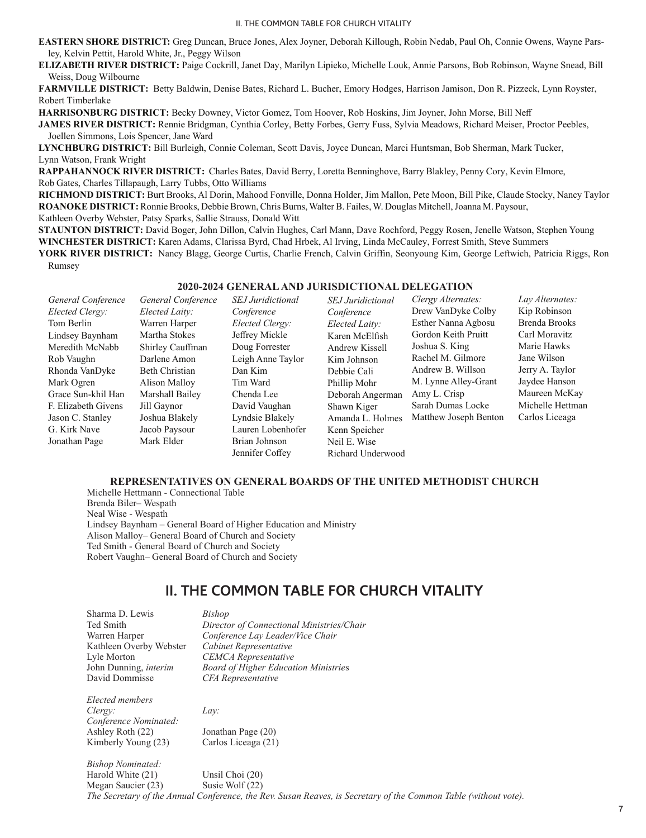**EASTERN SHORE DISTRICT:** Greg Duncan, Bruce Jones, Alex Joyner, Deborah Killough, Robin Nedab, Paul Oh, Connie Owens, Wayne Parsley, Kelvin Pettit, Harold White, Jr., Peggy Wilson

**ELIZABETH RIVER DISTRICT:** Paige Cockrill, Janet Day, Marilyn Lipieko, Michelle Louk, Annie Parsons, Bob Robinson, Wayne Snead, Bill Weiss, Doug Wilbourne

**FARMVILLE DISTRICT:** Betty Baldwin, Denise Bates, Richard L. Bucher, Emory Hodges, Harrison Jamison, Don R. Pizzeck, Lynn Royster, Robert Timberlake

**HARRISONBURG DISTRICT:** Becky Downey, Victor Gomez, Tom Hoover, Rob Hoskins, Jim Joyner, John Morse, Bill Neff

**JAMES RIVER DISTRICT:** Rennie Bridgman, Cynthia Corley, Betty Forbes, Gerry Fuss, Sylvia Meadows, Richard Meiser, Proctor Peebles, Joellen Simmons, Lois Spencer, Jane Ward

**LYNCHBURG DISTRICT:** Bill Burleigh, Connie Coleman, Scott Davis, Joyce Duncan, Marci Huntsman, Bob Sherman, Mark Tucker, Lynn Watson, Frank Wright

**RAPPAHANNOCK RIVER DISTRICT:** Charles Bates, David Berry, Loretta Benninghove, Barry Blakley, Penny Cory, Kevin Elmore, Rob Gates, Charles Tillapaugh, Larry Tubbs, Otto Williams

**RICHMOND DISTRICT:** Burt Brooks, Al Dorin, Mahood Fonville, Donna Holder, Jim Mallon, Pete Moon, Bill Pike, Claude Stocky, Nancy Taylor **ROANOKE DISTRICT:** Ronnie Brooks, Debbie Brown, Chris Burns, Walter B. Failes, W. Douglas Mitchell, Joanna M. Paysour, Kathleen Overby Webster, Patsy Sparks, Sallie Strauss, Donald Witt

**STAUNTON DISTRICT:** David Boger, John Dillon, Calvin Hughes, Carl Mann, Dave Rochford, Peggy Rosen, Jenelle Watson, Stephen Young **WINCHESTER DISTRICT:** Karen Adams, Clarissa Byrd, Chad Hrbek, Al Irving, Linda McCauley, Forrest Smith, Steve Summers **YORK RIVER DISTRICT:** Nancy Blagg, George Curtis, Charlie French, Calvin Griffin, Seonyoung Kim, George Leftwich, Patricia Riggs, Ron Rumsey

#### **2020-2024 GENERAL AND JURISDICTIONAL DELEGATION**

| General Conference  | General Conference | <b>SEJ</b> Juridictional | <b>SEJ</b> Juridictional | Clergy Alternates:    | Lay Alternates:  |
|---------------------|--------------------|--------------------------|--------------------------|-----------------------|------------------|
| Elected Clergy:     | Elected Laity:     | Conference               | Conference               | Drew VanDyke Colby    | Kip Robinson     |
| Tom Berlin          | Warren Harper      | Elected Clergy:          | Elected Laity:           | Esther Nanna Agbosu   | Brenda Brooks    |
| Lindsey Baynham     | Martha Stokes      | Jeffrey Mickle           | Karen McElfish           | Gordon Keith Pruitt   | Carl Moravitz    |
| Meredith McNabb     | Shirley Cauffman   | Doug Forrester           | Andrew Kissell           | Joshua S. King        | Marie Hawks      |
| Rob Vaughn          | Darlene Amon       | Leigh Anne Taylor        | Kim Johnson              | Rachel M. Gilmore     | Jane Wilson      |
| Rhonda VanDyke      | Beth Christian     | Dan Kim                  | Debbie Cali              | Andrew B. Willson     | Jerry A. Taylor  |
| Mark Ogren          | Alison Malloy      | Tim Ward                 | Phillip Mohr             | M. Lynne Alley-Grant  | Jaydee Hanson    |
| Grace Sun-khil Han  | Marshall Bailey    | Chenda Lee               | Deborah Angerman         | Amy L. Crisp          | Maureen McKay    |
| F. Elizabeth Givens | Jill Gaynor        | David Vaughan            | Shawn Kiger              | Sarah Dumas Locke     | Michelle Hettman |
| Jason C. Stanley    | Joshua Blakely     | Lyndsie Blakely          | Amanda L. Holmes         | Matthew Joseph Benton | Carlos Liceaga   |
| G. Kirk Nave        | Jacob Paysour      | Lauren Lobenhofer        | Kenn Speicher            |                       |                  |
| Jonathan Page       | Mark Elder         | Brian Johnson            | Neil E. Wise             |                       |                  |
|                     |                    | Jennifer Coffev          | Richard Underwood        |                       |                  |

#### **REPRESENTATIVES ON GENERAL BOARDS OF THE UNITED METHODIST CHURCH**

Michelle Hettmann - Connectional Table Brenda Biler– Wespath Neal Wise - Wespath Lindsey Baynham – General Board of Higher Education and Ministry Alison Malloy– General Board of Church and Society Ted Smith - General Board of Church and Society Robert Vaughn– General Board of Church and Society

# **II. THE COMMON TABLE FOR CHURCH VITALITY**

| Sharma D. Lewis          | Bishop                                      |
|--------------------------|---------------------------------------------|
| Ted Smith                | Director of Connectional Ministries/Chair   |
| Warren Harper            | Conference Lay Leader/Vice Chair            |
| Kathleen Overby Webster  | Cabinet Representative                      |
| Lyle Morton              | <b>CEMCA</b> Representative                 |
| John Dunning, interim    | <b>Board of Higher Education Ministries</b> |
| David Dommisse           | CFA Representative                          |
| Elected members          |                                             |
| Clergy:                  | Lay:                                        |
| Conference Nominated:    |                                             |
| Ashley Roth (22)         | Jonathan Page (20)                          |
| Kimberly Young (23)      | Carlos Liceaga (21)                         |
| <b>Bishop Nominated:</b> |                                             |
| Harold White (21)        | Unsil Choi (20)                             |
|                          |                                             |

Megan Saucier (23) Susie Wolf (22) *The Secretary of the Annual Conference, the Rev. Susan Reaves, is Secretary of the Common Table (without vote).*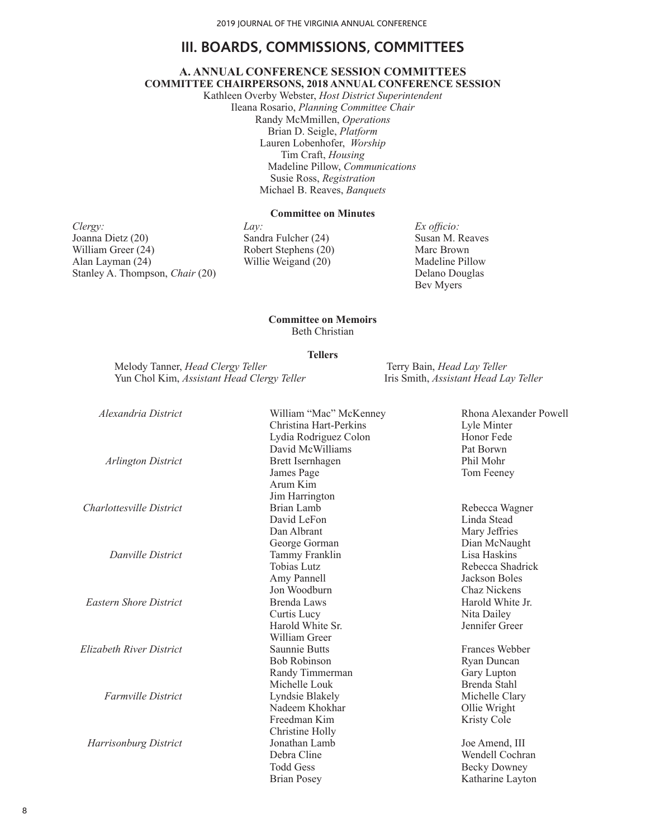# **III. BOARDS, COMMISSIONS, COMMITTEES**

#### **A. ANNUAL CONFERENCE SESSION COMMITTEES COMMITTEE CHAIRPERSONS, 2018 ANNUAL CONFERENCE SESSION**

Kathleen Overby Webster, *Host District Superintendent* Ileana Rosario, *Planning Committee Chair* Randy McMmillen, *Operations* Brian D. Seigle, *Platform* Lauren Lobenhofer, *Worship* Tim Craft, *Housing* Madeline Pillow, *Communications* Susie Ross, *Registration* Michael B. Reaves, *Banquets*

#### **Committee on Minutes**

*Clergy:* Joanna Dietz (20) William Greer (24) Alan Layman (24) Stanley A. Thompson, *Chair* (20) *Lay:* Sandra Fulcher (24) Robert Stephens (20) Willie Weigand (20)

*Ex officio:* Susan M. Reaves Marc Brown Madeline Pillow Delano Douglas Bev Myers

#### **Committee on Memoirs**  Beth Christian

#### **Tellers**

Melody Tanner, *Head Clergy Teller*<br>
Yun Chol Kim, *Assistant Head Clergy Teller*<br>
Terry Bain, *Head Lay Teller*<br>
Iris Smith, *Assistant Head Lay Teller* Yun Chol Kim, *Assistant Head Clergy Teller* 

| Alexandria District           | William "Mac" McKenney | Rhona Alexander Powell |
|-------------------------------|------------------------|------------------------|
|                               | Christina Hart-Perkins | Lyle Minter            |
|                               | Lydia Rodriguez Colon  | Honor Fede             |
|                               | David McWilliams       | Pat Borwn              |
| Arlington District            | Brett Isernhagen       | Phil Mohr              |
|                               | James Page             | Tom Feeney             |
|                               | Arum Kim               |                        |
|                               | Jim Harrington         |                        |
| Charlottesville District      | Brian Lamb             | Rebecca Wagner         |
|                               | David LeFon            | Linda Stead            |
|                               | Dan Albrant            | Mary Jeffries          |
|                               | George Gorman          | Dian McNaught          |
| Danville District             | Tammy Franklin         | Lisa Haskins           |
|                               | Tobias Lutz            | Rebecca Shadrick       |
|                               | Amy Pannell            | Jackson Boles          |
|                               | Jon Woodburn           | Chaz Nickens           |
| <b>Eastern Shore District</b> | Brenda Laws            | Harold White Jr.       |
|                               | Curtis Lucy            | Nita Dailey            |
|                               | Harold White Sr.       | Jennifer Greer         |
|                               | William Greer          |                        |
| Elizabeth River District      | Saunnie Butts          | Frances Webber         |
|                               | <b>Bob Robinson</b>    | Ryan Duncan            |
|                               | Randy Timmerman        | Gary Lupton            |
|                               | Michelle Louk          | Brenda Stahl           |
| <b>Farmville District</b>     | Lyndsie Blakely        | Michelle Clary         |
|                               | Nadeem Khokhar         | Ollie Wright           |
|                               | Freedman Kim           | Kristy Cole            |
|                               | Christine Holly        |                        |
| Harrisonburg District         | Jonathan Lamb          | Joe Amend, III         |
|                               | Debra Cline            | Wendell Cochran        |
|                               | <b>Todd Gess</b>       | <b>Becky Downey</b>    |
|                               | <b>Brian Posey</b>     | Katharine Layton       |

8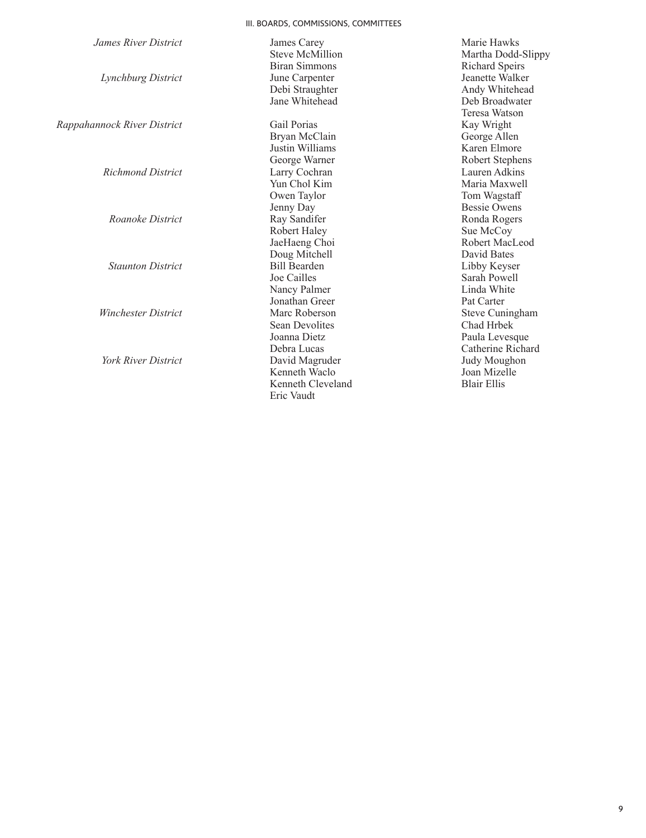# III. BOARDS, COMMISSIONS, COMMITTEES

| James River District        | James Carey            | Marie Hawks           |
|-----------------------------|------------------------|-----------------------|
|                             | <b>Steve McMillion</b> | Martha Dodd-Slippy    |
|                             | Biran Simmons          | <b>Richard Speirs</b> |
| Lynchburg District          | June Carpenter         | Jeanette Walker       |
|                             | Debi Straughter        | Andy Whitehead        |
|                             | Jane Whitehead         | Deb Broadwater        |
|                             |                        | Teresa Watson         |
| Rappahannock River District | Gail Porias            | Kay Wright            |
|                             | Bryan McClain          | George Allen          |
|                             | Justin Williams        | Karen Elmore          |
|                             | George Warner          | Robert Stephens       |
| <b>Richmond District</b>    | Larry Cochran          | Lauren Adkins         |
|                             | Yun Chol Kim           | Maria Maxwell         |
|                             | Owen Taylor            | Tom Wagstaff          |
|                             | Jenny Day              | <b>Bessie Owens</b>   |
| Roanoke District            | Ray Sandifer           | Ronda Rogers          |
|                             | Robert Haley           | Sue McCoy             |
|                             | JaeHaeng Choi          | Robert MacLeod        |
|                             | Doug Mitchell          | David Bates           |
| <b>Staunton District</b>    | <b>Bill Bearden</b>    | Libby Keyser          |
|                             | Joe Cailles            | Sarah Powell          |
|                             | Nancy Palmer           | Linda White           |
|                             | Jonathan Greer         | Pat Carter            |
| <b>Winchester District</b>  | Marc Roberson          | Steve Cuningham       |
|                             | <b>Sean Devolites</b>  | Chad Hrbek            |
|                             | Joanna Dietz           | Paula Levesque        |
|                             | Debra Lucas            | Catherine Richard     |
| <b>York River District</b>  | David Magruder         | Judy Moughon          |
|                             | Kenneth Waclo          | Joan Mizelle          |
|                             | Kenneth Cleveland      | <b>Blair Ellis</b>    |
|                             | Eric Vaudt             |                       |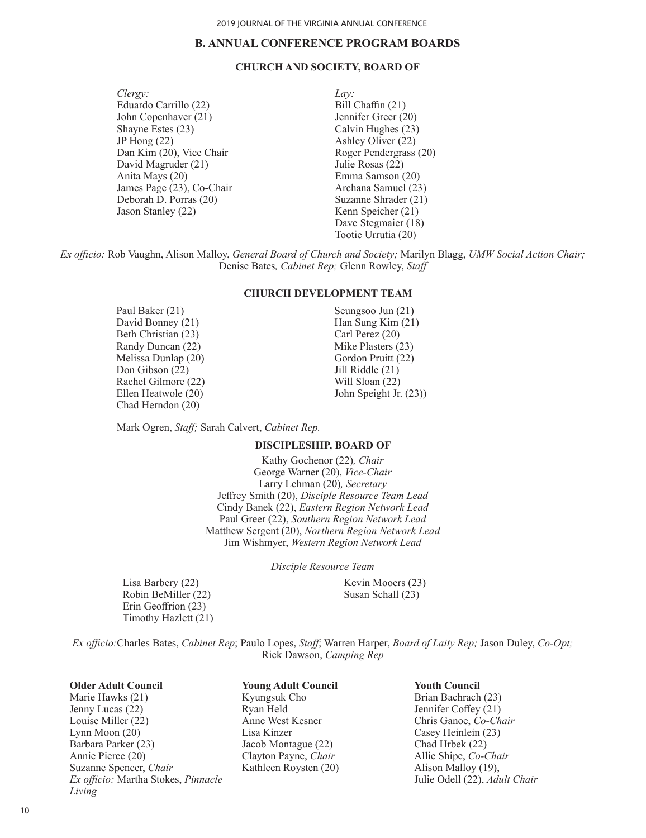# **B. ANNUAL CONFERENCE PROGRAM BOARDS**

#### **CHURCH AND SOCIETY, BOARD OF**

*Clergy:* Eduardo Carrillo (22) John Copenhaver (21) Shayne Estes (23) JP Hong (22) Dan Kim (20), Vice Chair David Magruder (21) Anita Mays (20) James Page (23), Co-Chair Deborah D. Porras (20) Jason Stanley (22)

*Lay:* Bill Chaffin (21) Jennifer Greer (20) Calvin Hughes (23) Ashley Oliver (22) Roger Pendergrass (20) Julie Rosas (22) Emma Samson (20) Archana Samuel (23) Suzanne Shrader (21) Kenn Speicher (21) Dave Stegmaier (18) Tootie Urrutia (20)

*Ex officio:* Rob Vaughn, Alison Malloy, *General Board of Church and Society;* Marilyn Blagg, *UMW Social Action Chair;* Denise Bates*, Cabinet Rep;* Glenn Rowley, *Staff*

#### **CHURCH DEVELOPMENT TEAM**

Paul Baker (21) David Bonney (21) Beth Christian (23) Randy Duncan (22) Melissa Dunlap (20) Don Gibson (22) Rachel Gilmore (22) Ellen Heatwole (20) Chad Herndon (20)

Seungsoo Jun (21) Han Sung Kim (21) Carl Perez (20) Mike Plasters (23) Gordon Pruitt (22) Jill Riddle (21) Will Sloan (22) John Speight Jr. (23))

Mark Ogren, *Staff;* Sarah Calvert, *Cabinet Rep.*

### **DISCIPLESHIP, BOARD OF**

Kathy Gochenor (22)*, Chair* George Warner (20), *Vice-Chair* Larry Lehman (20)*, Secretary* Jeffrey Smith (20), *Disciple Resource Team Lead* Cindy Banek (22), *Eastern Region Network Lead* Paul Greer (22), *Southern Region Network Lead* Matthew Sergent (20), *Northern Region Network Lead* Jim Wishmyer, *Western Region Network Lead*

*Disciple Resource Team* 

Lisa Barbery (22) Robin BeMiller (22) Erin Geoffrion (23) Timothy Hazlett (21) Kevin Mooers (23) Susan Schall (23)

*Ex officio:*Charles Bates, *Cabinet Rep*; Paulo Lopes, *Staff*; Warren Harper, *Board of Laity Rep;* Jason Duley, *Co-Opt;* Rick Dawson, *Camping Rep*

#### **Older Adult Council**

Marie Hawks (21) Jenny Lucas (22) Louise Miller (22) Lynn Moon (20) Barbara Parker (23) Annie Pierce (20) Suzanne Spencer, *Chair Ex officio:* Martha Stokes, *Pinnacle Living*

**Young Adult Council** Kyungsuk Cho Ryan Held Anne West Kesner Lisa Kinzer Jacob Montague (22) Clayton Payne, *Chair* Kathleen Roysten (20) **Youth Council**

Brian Bachrach (23) Jennifer Coffey (21) Chris Ganoe, *Co-Chair* Casey Heinlein (23) Chad Hrbek (22) Allie Shipe, *Co-Chair* Alison Malloy (19), Julie Odell (22), *Adult Chair*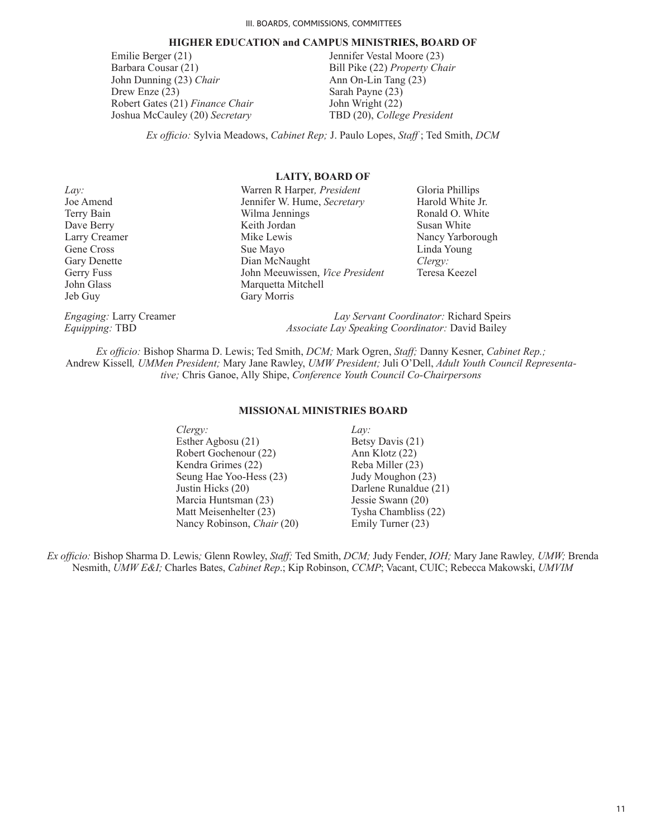#### **HIGHER EDUCATION and CAMPUS MINISTRIES, BOARD OF**

Emilie Berger (21) Barbara Cousar (21) John Dunning (23) *Chair* Drew Enze (23) Robert Gates (21) *Finance Chair* Joshua McCauley (20) *Secretary* Jennifer Vestal Moore (23) Bill Pike (22) *Property Chair* Ann On-Lin Tang (23) Sarah Payne (23) John Wright (22) TBD (20), *College President*

*Ex officio:* Sylvia Meadows, *Cabinet Rep;* J. Paulo Lopes, *Staff* ; Ted Smith, *DCM*

#### **LAITY, BOARD OF**

| Lav:                           | Warren R Harper, President                       | Gloria Phillips                         |
|--------------------------------|--------------------------------------------------|-----------------------------------------|
| Joe Amend                      | Jennifer W. Hume, Secretary                      | Harold White Jr.                        |
| Terry Bain                     | Wilma Jennings                                   | Ronald O. White                         |
| Dave Berry                     | Keith Jordan                                     | Susan White                             |
| Larry Creamer                  | Mike Lewis                                       | Nancy Yarborough                        |
| Gene Cross                     | Sue Mayo                                         | Linda Young                             |
| <b>Gary Denette</b>            | Dian McNaught                                    | Clergy:                                 |
| Gerry Fuss                     | John Meeuwissen, Vice President                  | Teresa Keezel                           |
| John Glass                     | Marquetta Mitchell                               |                                         |
| Jeb Guy                        | Gary Morris                                      |                                         |
| <i>Engaging:</i> Larry Creamer |                                                  | Lay Servant Coordinator: Richard Speirs |
| <i>Equipping: TBD</i>          | Associate Lay Speaking Coordinator: David Bailey |                                         |

*Ex officio:* Bishop Sharma D. Lewis; Ted Smith, *DCM;* Mark Ogren, *Staff;* Danny Kesner, *Cabinet Rep.;*  Andrew Kissell*, UMMen President;* Mary Jane Rawley, *UMW President;* Juli O'Dell, *Adult Youth Council Representative;* Chris Ganoe, Ally Shipe, *Conference Youth Council Co-Chairpersons*

#### **MISSIONAL MINISTRIES BOARD**

| Clergy:                    | Lav:                  |
|----------------------------|-----------------------|
| Esther Agbosu (21)         | Betsy Davis (21)      |
| Robert Gochenour (22)      | Ann Klotz (22)        |
| Kendra Grimes (22)         | Reba Miller (23)      |
| Seung Hae Yoo-Hess (23)    | Judy Moughon (23)     |
| Justin Hicks (20)          | Darlene Runaldue (21) |
| Marcia Huntsman (23)       | Jessie Swann (20)     |
| Matt Meisenhelter (23)     | Tysha Chambliss (22)  |
| Nancy Robinson, Chair (20) | Emily Turner (23)     |

*Ex officio:* Bishop Sharma D. Lewis*;* Glenn Rowley, *Staff;* Ted Smith, *DCM;* Judy Fender, *IOH;* Mary Jane Rawley*, UMW;* Brenda Nesmith, *UMW E&I;* Charles Bates, *Cabinet Rep*.; Kip Robinson, *CCMP*; Vacant, CUIC; Rebecca Makowski, *UMVIM*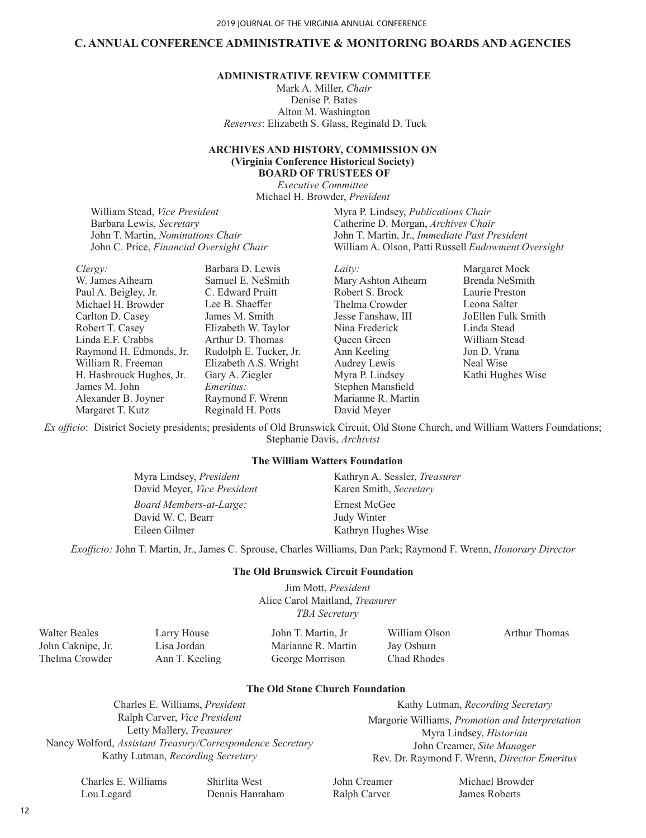### **C. ANNUAL CONFERENCE ADMINISTRATIVE & MONITORING BOARDS AND AGENCIES**

# **ADMINISTRATIVE REVIEW COMMITTEE**

Mark A. Miller, *Chair* Denise P. Bates Alton M. Washington *Reserves*: Elizabeth S. Glass, Reginald D. Tuck

#### **ARCHIVES AND HISTORY, COMMISSION ON (Virginia Conference Historical Society) BOARD OF TRUSTEES OF**

*Executive Committee* Michael H. Browder, *President*

William Stead, *Vice President* Barbara Lewis, *Secretary*  John T. Martin, *Nominations Chair*  John C. Price, *Financial Oversight Chair*

*Clergy:* W. James Athearn Paul A. Beigley, Jr. Michael H. Browder Carlton D. Casey Robert T. Casey Linda E.F. Crabbs Raymond H. Edmonds, Jr. William R. Freeman H. Hasbrouck Hughes, Jr. James M. John Alexander B. Joyner Margaret T. Kutz Barbara D. Lewis Samuel E. NeSmith C. Edward Pruitt Lee B. Shaeffer James M. Smith Elizabeth W. Taylor Arthur D. Thomas Rudolph E. Tucker, Jr. Elizabeth A.S. Wright Gary A. Ziegler *Emeritus:* Raymond F. Wrenn Reginald H. Potts

Myra P. Lindsey, *Publications Chair* Catherine D. Morgan, *Archives Chair* John T. Martin, Jr., *Immediate Past President* William A. Olson, Patti Russell *Endowment Oversight* 

*Laity:*  Mary Ashton Athearn Robert S. Brock Thelma Crowder Jesse Fanshaw, III Nina Frederick Queen Green Ann Keeling Audrey Lewis Myra P. Lindsey Stephen Mansfield Marianne R. Martin David Meyer

Margaret Mock Brenda NeSmith Laurie Preston Leona Salter JoEllen Fulk Smith Linda Stead William Stead Jon D. Vrana Neal Wise Kathi Hughes Wise

*Ex officio*: District Society presidents; presidents of Old Brunswick Circuit, Old Stone Church, and William Watters Foundations; Stephanie Davis, *Archivist*

#### **The William Watters Foundation**

*Board Members-at-Large:* David W. C. Bearr Eileen Gilmer Myra Lindsey, *President* David Meyer, *Vice President*  Ernest McGee Judy Winter Kathryn Hughes Wise Kathryn A. Sessler, *Treasurer* Karen Smith, *Secretary* 

*Exofficio:* John T. Martin, Jr., James C. Sprouse, Charles Williams, Dan Park; Raymond F. Wrenn, *Honorary Director*

#### **The Old Brunswick Circuit Foundation**

Jim Mott, *President* Alice Carol Maitland, *Treasurer TBA Secretary*

| Walter Beales     | Larry House    | John T. Martin, Jr | William Olson | Arthur Thomas |
|-------------------|----------------|--------------------|---------------|---------------|
| John Caknipe, Jr. | Lisa Jordan    | Marianne R. Martin | Jay Osburn    |               |
| Thelma Crowder    | Ann T. Keeling | George Morrison    | Chad Rhodes   |               |

#### **The Old Stone Church Foundation**

Charles E. Williams, *President* Ralph Carver, *Vice President* Letty Mallery, *Treasurer* Nancy Wolford, *Assistant Treasury/Correspondence Secretary* Kathy Lutman, *Recording Secretary*

Kathy Lutman, *Recording Secretary* Margorie Williams, *Promotion and Interpretation* Myra Lindsey, *Historian* John Creamer, *Site Manager* Rev. Dr. Raymond F. Wrenn, *Director Emeritus*

Charles E. Williams Lou Legard

Shirlita West Dennis Hanraham John Creamer Ralph Carver

Michael Browder James Roberts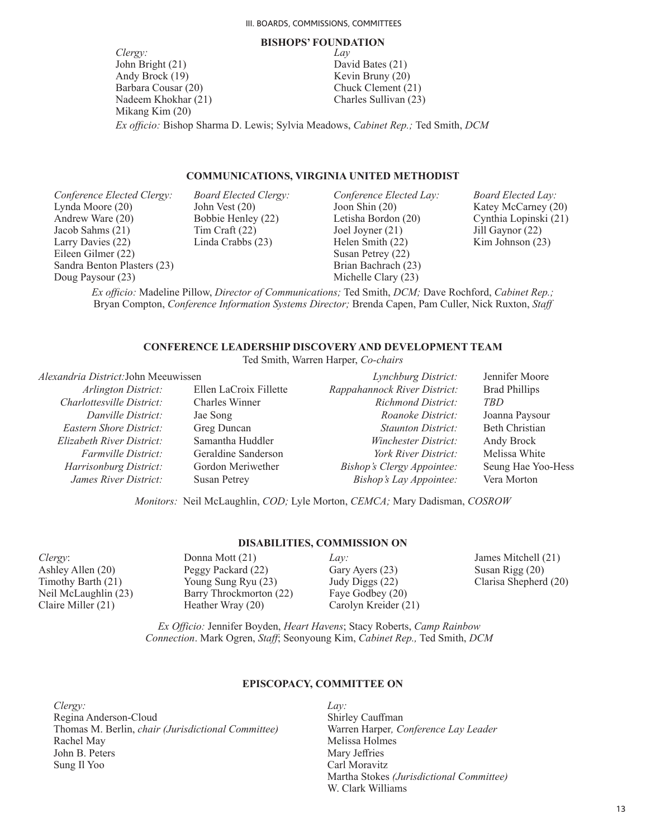#### **BISHOPS' FOUNDATION**

*Clergy:* John Bright (21) Andy Brock (19) Barbara Cousar (20) Nadeem Khokhar (21) Mikang Kim (20)

*Lay* David Bates (21) Kevin Bruny (20) Chuck Clement (21) Charles Sullivan (23)

*Ex officio:* Bishop Sharma D. Lewis; Sylvia Meadows, *Cabinet Rep.;* Ted Smith, *DCM*

#### **COMMUNICATIONS, VIRGINIA UNITED METHODIST**

*Conference Elected Clergy:* Lynda Moore (20) Andrew Ware (20) Jacob Sahms (21) Larry Davies (22) Eileen Gilmer (22) Sandra Benton Plasters (23) Doug Paysour (23)

*Board Elected Clergy:* John Vest (20) Bobbie Henley (22) Tim Craft (22) Linda Crabbs (23)

*Conference Elected Lay:* Joon Shin (20) Letisha Bordon (20) Joel Joyner (21) Helen Smith (22) Susan Petrey (22) Brian Bachrach (23) Michelle Clary (23)

*Board Elected Lay:* Katey McCarney (20) Cynthia Lopinski (21) Jill Gaynor (22) Kim Johnson (23)

*Ex officio:* Madeline Pillow, *Director of Communications;* Ted Smith, *DCM;* Dave Rochford, *Cabinet Rep.;*  Bryan Compton, *Conference Information Systems Director;* Brenda Capen, Pam Culler, Nick Ruxton, *Staff*

#### **CONFERENCE LEADERSHIP DISCOVERY AND DEVELOPMENT TEAM**

Ted Smith, Warren Harper, *Co-chairs*

#### *Alexandria District:*John Meeuwissen

*Arlington District:* Ellen LaCroix Fillette *Charlottesville District:* Charles Winner *Danville District:* Jae Song *Eastern Shore District:* Greg Duncan *Elizabeth River District:* Samantha Huddler *Farmville District:* Geraldine Sanderson *Harrisonburg District:* Gordon Meriwether *James River District:* Susan Petrey

*Lynchburg District:* Jennifer Moore *Rappahannock River District:* Brad Phillips *Richmond District: TBD Roanoke District:* Joanna Paysour *Staunton District:* Beth Christian *Winchester District:* Andy Brock *York River District:* Melissa White *Bishop's Clergy Appointee:* Seung Hae Yoo-Hess *Bishop's Lay Appointee:* Vera Morton

*Monitors:* Neil McLaughlin, *COD;* Lyle Morton, *CEMCA;* Mary Dadisman, *COSROW*

#### **DISABILITIES, COMMISSION ON**

*Clergy*: Ashley Allen (20) Timothy Barth (21) Neil McLaughlin (23) Claire Miller (21)

Donna Mott (21) Peggy Packard (22) Young Sung Ryu (23) Barry Throckmorton (22) Heather Wray (20)

*Lay:* Gary Ayers (23) Judy Diggs (22) Faye Godbey (20) Carolyn Kreider (21) James Mitchell (21) Susan Rigg (20) Clarisa Shepherd (20)

*Ex Officio:* Jennifer Boyden, *Heart Havens*; Stacy Roberts, *Camp Rainbow Connection*. Mark Ogren, *Staff*; Seonyoung Kim, *Cabinet Rep.,* Ted Smith, *DCM*

#### **EPISCOPACY, COMMITTEE ON**

*Clergy:* Regina Anderson-Cloud Thomas M. Berlin, *chair (Jurisdictional Committee)* Rachel May John B. Peters Sung Il Yoo

*Lay:* Shirley Cauffman Warren Harper*, Conference Lay Leader* Melissa Holmes Mary Jeffries Carl Moravitz Martha Stokes *(Jurisdictional Committee)* W. Clark Williams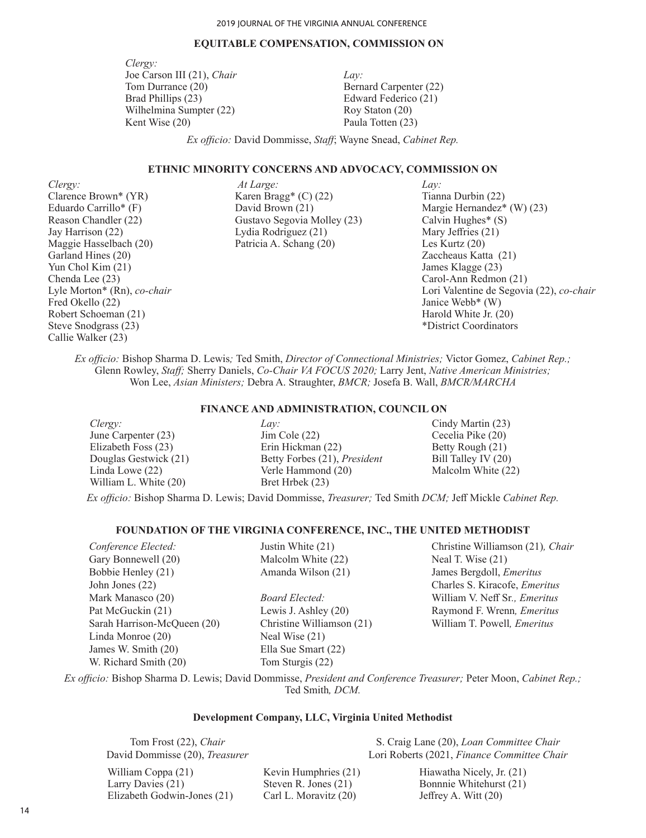#### **EQUITABLE COMPENSATION, COMMISSION ON**

*Clergy:* Joe Carson III (21), *Chair*  Tom Durrance (20) Brad Phillips (23) Wilhelmina Sumpter (22) Kent Wise (20)

*Lay:* Bernard Carpenter (22) Edward Federico (21) Roy Staton (20) Paula Totten (23)

*Ex officio:* David Dommisse, *Staff*; Wayne Snead, *Cabinet Rep.*

#### **ETHNIC MINORITY CONCERNS AND ADVOCACY, COMMISSION ON**

*Clergy:* Clarence Brown\* (YR) Eduardo Carrillo\* (F) Reason Chandler (22) Jay Harrison (22) Maggie Hasselbach (20) Garland Hines (20) Yun Chol Kim (21) Chenda Lee (23) Lyle Morton\* (Rn), *co-chair* Fred Okello (22) Robert Schoeman (21) Steve Snodgrass (23) Callie Walker (23)

*At Large:* Karen Bragg\* (C) (22) David Brown (21) Gustavo Segovia Molley (23) Lydia Rodriguez (21) Patricia A. Schang (20)

*Lay:* Tianna Durbin (22) Margie Hernandez\* (W) (23) Calvin Hughes\* (S) Mary Jeffries (21) Les Kurtz (20) Zaccheaus Katta (21) James Klagge (23) Carol-Ann Redmon (21) Lori Valentine de Segovia (22), *co-chair* Janice Webb\* (W) Harold White Jr. (20) \*District Coordinators

*Ex officio:* Bishop Sharma D. Lewis*;* Ted Smith, *Director of Connectional Ministries;* Victor Gomez, *Cabinet Rep.;*  Glenn Rowley, *Staff;* Sherry Daniels, *Co-Chair VA FOCUS 2020;* Larry Jent, *Native American Ministries;* Won Lee, *Asian Ministers;* Debra A. Straughter, *BMCR;* Josefa B. Wall, *BMCR/MARCHA*

#### **FINANCE AND ADMINISTRATION, COUNCIL ON**

*Clergy:* June Carpenter (23) Elizabeth Foss (23) Douglas Gestwick (21) Linda Lowe (22) William L. White (20)

*Lay:* Jim Cole (22) Erin Hickman (22) Betty Forbes (21), *President* Verle Hammond (20) Bret Hrbek (23)

Cindy Martin (23) Cecelia Pike (20) Betty Rough (21) Bill Talley IV (20) Malcolm White (22)

*Ex officio:* Bishop Sharma D. Lewis; David Dommisse, *Treasurer;* Ted Smith *DCM;* Jeff Mickle *Cabinet Rep.*

#### **FOUNDATION OF THE VIRGINIA CONFERENCE, INC., THE UNITED METHODIST**

| Conference Elected:         | Justin White (21)         | Christine Williamson (21), Chair     |
|-----------------------------|---------------------------|--------------------------------------|
| Gary Bonnewell (20)         | Malcolm White (22)        | Neal T. Wise (21)                    |
| Bobbie Henley (21)          | Amanda Wilson (21)        | James Bergdoll, Emeritus             |
| John Jones $(22)$           |                           | Charles S. Kiracofe, <i>Emeritus</i> |
| Mark Manasco (20)           | Board Elected:            | William V. Neff Sr., <i>Emeritus</i> |
| Pat McGuckin (21)           | Lewis J. Ashley $(20)$    | Raymond F. Wrenn, Emeritus           |
| Sarah Harrison-McQueen (20) | Christine Williamson (21) | William T. Powell, <i>Emeritus</i>   |
| Linda Monroe (20)           | Neal Wise $(21)$          |                                      |
| James W. Smith (20)         | Ella Sue Smart (22)       |                                      |
| W. Richard Smith (20)       | Tom Sturgis (22)          |                                      |
|                             |                           |                                      |

*Ex officio:* Bishop Sharma D. Lewis; David Dommisse, *President and Conference Treasurer;* Peter Moon, *Cabinet Rep.;*  Ted Smith*, DCM.*

#### **Development Company, LLC, Virginia United Methodist**

Tom Frost (22), *Chair* David Dommisse (20), *Treasurer*

William Coppa (21) Larry Davies (21) Elizabeth Godwin-Jones (21) Kevin Humphries (21) Steven R. Jones (21) Carl L. Moravitz (20)

S. Craig Lane (20), *Loan Committee Chair* Lori Roberts (2021, *Finance Committee Chair*

Hiawatha Nicely, Jr. (21) Bonnnie Whitehurst (21) Jeffrey A. Witt (20)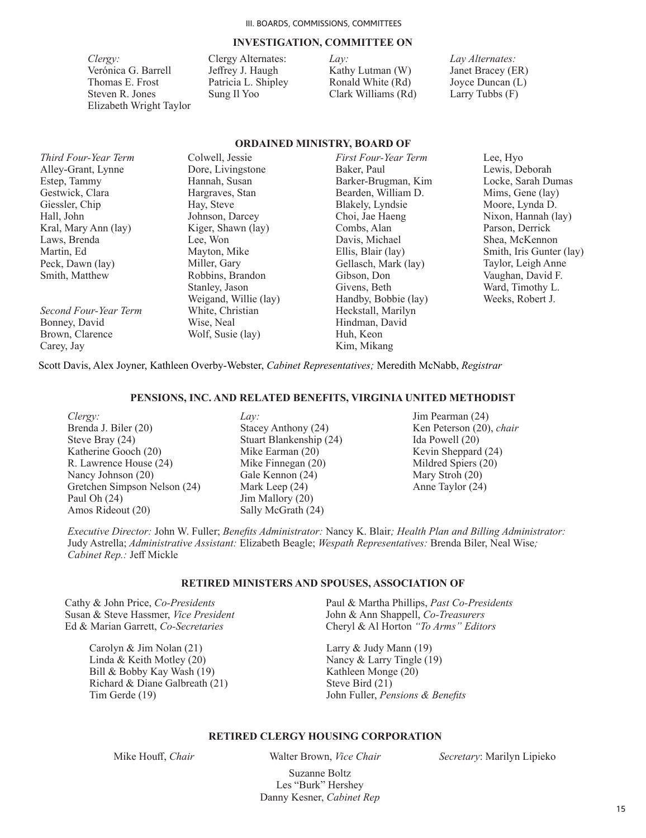#### **INVESTIGATION, COMMITTEE ON**

**ORDAINED MINISTRY, BOARD OF** 

*Clergy:*  Verónica G. Barrell Thomas E. Frost Steven R. Jones Elizabeth Wright Taylor

Clergy Alternates: Jeffrey J. Haugh Patricia L. Shipley Sung Il Yoo

*Lay:* Kathy Lutman (W) Ronald White (Rd) Clark Williams (Rd) *Lay Alternates:* Janet Bracey (ER) Joyce Duncan (L) Larry Tubbs (F)

|                       |                       | URDAINED MINISTRY, BUARD OF |                          |
|-----------------------|-----------------------|-----------------------------|--------------------------|
| Third Four-Year Term  | Colwell, Jessie       | First Four-Year Term        | Lee, Hyo                 |
| Alley-Grant, Lynne    | Dore, Livingstone     | Baker, Paul                 | Lewis, Deborah           |
| Estep, Tammy          | Hannah, Susan         | Barker-Brugman, Kim         | Locke, Sarah Dumas       |
| Gestwick, Clara       | Hargraves, Stan       | Bearden, William D.         | Mims, Gene (lay)         |
| Giessler, Chip        | Hay, Steve            | Blakely, Lyndsie            | Moore, Lynda D.          |
| Hall, John            | Johnson, Darcey       | Choi, Jae Haeng             | Nixon, Hannah (lay)      |
| Kral, Mary Ann (lay)  | Kiger, Shawn (lay)    | Combs, Alan                 | Parson, Derrick          |
| Laws, Brenda          | Lee, Won              | Davis, Michael              | Shea, McKennon           |
| Martin, Ed            | Mayton, Mike          | Ellis, Blair (lay)          | Smith, Iris Gunter (lay) |
| Peck, Dawn (lay)      | Miller, Gary          | Gellasch, Mark (lay)        | Taylor, Leigh Anne       |
| Smith, Matthew        | Robbins, Brandon      | Gibson, Don                 | Vaughan, David F.        |
|                       | Stanley, Jason        | Givens, Beth                | Ward, Timothy L.         |
|                       | Weigand, Willie (lay) | Handby, Bobbie (lay)        | Weeks, Robert J.         |
| Second Four-Year Term | White, Christian      | Heckstall, Marilyn          |                          |
| Bonney, David         | Wise, Neal            | Hindman, David              |                          |
| Brown, Clarence       | Wolf, Susie (lay)     | Huh, Keon                   |                          |
| Carey, Jay            |                       | Kim. Mikang                 |                          |

Scott Davis, Alex Joyner, Kathleen Overby-Webster, *Cabinet Representatives;* Meredith McNabb, *Registrar*

#### **PENSIONS, INC. AND RELATED BENEFITS, VIRGINIA UNITED METHODIST**

- *Clergy:* Brenda J. Biler (20) Steve Bray (24) Katherine Gooch (20) R. Lawrence House (24) Nancy Johnson (20) Gretchen Simpson Nelson (24) Paul Oh (24) Amos Rideout (20)
- *Lay:* Stacey Anthony (24) Stuart Blankenship (24) Mike Earman (20) Mike Finnegan (20) Gale Kennon (24) Mark Leep (24) Jim Mallory (20) Sally McGrath (24)

#### Jim Pearman (24) Ken Peterson (20), *chair* Ida Powell (20) Kevin Sheppard (24) Mildred Spiers (20) Mary Stroh (20) Anne Taylor (24)

*Executive Director:* John W. Fuller; *Benefits Administrator:* Nancy K. Blair*; Health Plan and Billing Administrator:*  Judy Astrella; *Administrative Assistant:* Elizabeth Beagle; *Wespath Representatives:* Brenda Biler, Neal Wise*; Cabinet Rep.:* Jeff Mickle

#### **RETIRED MINISTERS AND SPOUSES, ASSOCIATION OF**

Cathy & John Price, *Co-Presidents* Susan & Steve Hassmer, *Vice President* Ed & Marian Garrett, *Co-Secretaries*

> Carolyn & Jim Nolan (21) Linda & Keith Motley (20) Bill & Bobby Kay Wash (19) Richard & Diane Galbreath (21) Tim Gerde (19)

Paul & Martha Phillips, *Past Co-Presidents*  John & Ann Shappell, *Co-Treasurers* Cheryl & Al Horton *"To Arms" Editors*

Larry & Judy Mann (19) Nancy & Larry Tingle (19) Kathleen Monge (20) Steve Bird (21) John Fuller, *Pensions & Benefits*

#### **RETIRED CLERGY HOUSING CORPORATION**

Mike Houff, *Chair* Walter Brown, *Vice Chair Secretary*: Marilyn Lipieko

Suzanne Boltz Les "Burk" Hershey Danny Kesner, *Cabinet Rep*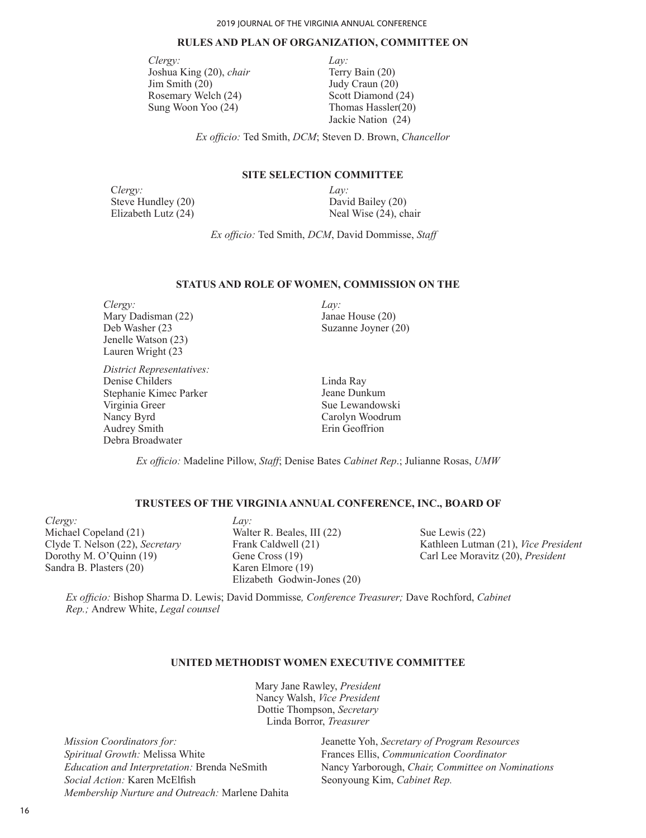# **RULES AND PLAN OF ORGANIZATION, COMMITTEE ON**

*Clergy:* Joshua King (20), *chair* Jim Smith (20) Rosemary Welch (24) Sung Woon Yoo (24)

*Lay:* Terry Bain (20) Judy Craun (20) Scott Diamond (24) Thomas Hassler(20) Jackie Nation (24)

*Ex officio:* Ted Smith, *DCM*; Steven D. Brown, *Chancellor*

#### **SITE SELECTION COMMITTEE**

C*lergy:* Steve Hundley (20) Elizabeth Lutz (24)

*Lay:* David Bailey (20) Neal Wise (24), chair

*Ex officio:* Ted Smith, *DCM*, David Dommisse, *Staff*

#### **STATUS AND ROLE OF WOMEN, COMMISSION ON THE**

*Clergy:* Mary Dadisman (22) Deb Washer (23 Jenelle Watson (23) Lauren Wright (23

*District Representatives:* Denise Childers Stephanie Kimec Parker Virginia Greer Nancy Byrd Audrey Smith Debra Broadwater

*Lay:* Janae House (20) Suzanne Joyner (20)

Linda Ray Jeane Dunkum Sue Lewandowski Carolyn Woodrum Erin Geoffrion

*Ex officio:* Madeline Pillow, *Staff*; Denise Bates *Cabinet Rep*.; Julianne Rosas, *UMW*

#### **TRUSTEES OF THE VIRGINIA ANNUAL CONFERENCE, INC., BOARD OF**

*Clergy:* Michael Copeland (21) Clyde T. Nelson (22), *Secretary*  Dorothy M. O'Quinn (19) Sandra B. Plasters (20)

*Lay:* Walter R. Beales, III (22) Frank Caldwell (21) Gene Cross (19) Karen Elmore (19) Elizabeth Godwin-Jones (20)

Sue Lewis (22) Kathleen Lutman (21), *Vice President* Carl Lee Moravitz (20), *President*

*Ex officio:* Bishop Sharma D. Lewis; David Dommisse*, Conference Treasurer;* Dave Rochford, *Cabinet Rep.;* Andrew White, *Legal counsel*

#### **UNITED METHODIST WOMEN EXECUTIVE COMMITTEE**

Mary Jane Rawley, *President* Nancy Walsh, *Vice President* Dottie Thompson, *Secretary* Linda Borror, *Treasurer* 

*Mission Coordinators for: Spiritual Growth:* Melissa White *Education and Interpretation:* Brenda NeSmith *Social Action:* Karen McElfish *Membership Nurture and Outreach:* Marlene Dahita Jeanette Yoh, *Secretary of Program Resources* Frances Ellis, *Communication Coordinator* Nancy Yarborough, *Chair, Committee on Nominations* Seonyoung Kim, *Cabinet Rep.*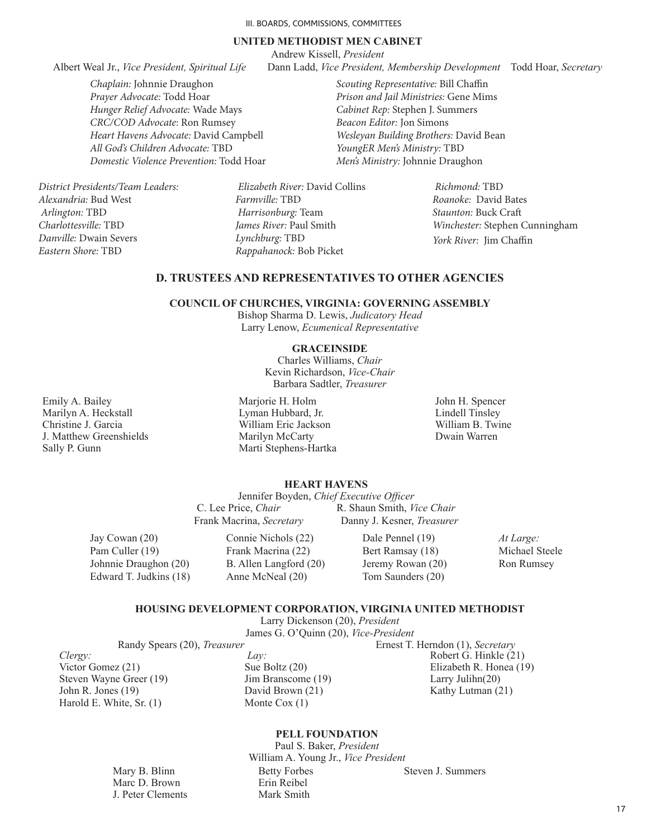#### **UNITED METHODIST MEN CABINET**

*Scouting Representative:* Bill Chaffin *Prison and Jail Ministries:* Gene Mims *Cabinet Rep:* Stephen J. Summers *Beacon Editor:* Jon Simons

*Wesleyan Building Brothers:* David Bean

*YoungER Men's Ministry:* TBD *Men's Ministry:* Johnnie Draughon

Andrew Kissell, *President*

Albert Weal Jr., *Vice President, Spiritual Life* Dann Ladd, *Vice President, Membership Development* Todd Hoar, *Secretary*

*Chaplain:* Johnnie Draughon *Prayer Advocate:* Todd Hoar *Hunger Relief Advocate:* Wade Mays *CRC/COD Advocate*: Ron Rumsey *Heart Havens Advocate:* David Campbell *All God's Children Advocate:* TBD *Domestic Violence Prevention:* Todd Hoar

*District Presidents/Team Leaders: Alexandria:* Bud West  *Arlington:* TBD *Charlottesville:* TBD *Danville:* Dwain Severs *Eastern Shore:* TBD

 *Elizabeth River:* David Collins *Farmville:* TBD  *Harrisonburg:* Team *James River:* Paul Smith *Lynchburg:* TBD *Rappahanock:* Bob Picket

 *Richmond:* TBD *Roanoke:* David Bates *Staunton:* Buck Craft *Winchester:* Stephen Cunningham *York River:* Jim Chaffin

# **D. TRUSTEES AND REPRESENTATIVES TO OTHER AGENCIES**

#### **COUNCIL OF CHURCHES, VIRGINIA: GOVERNING ASSEMBLY**

Bishop Sharma D. Lewis, *Judicatory Head* Larry Lenow, *Ecumenical Representative*

#### **GRACEINSIDE**

Charles Williams, *Chair* Kevin Richardson, *Vice-Chair* Barbara Sadtler, *Treasurer*

Emily A. Bailey Marilyn A. Heckstall Christine J. Garcia J. Matthew Greenshields Sally P. Gunn

Marjorie H. Holm Lyman Hubbard, Jr. William Eric Jackson Marilyn McCarty Marti Stephens-Hartka John H. Spencer Lindell Tinsley William B. Twine Dwain Warren

# **HEART HAVENS**

Jennifer Boyden, *Chief Executive Officer*<br>C. Lee Price, *Chair* R. Shaun Smith, *Vi* R. Shaun Smith, *Vice Chair* Frank Macrina, *Secretary* Danny J. Kesner, *Treasurer*

Jay Cowan (20) Pam Culler (19) Johnnie Draughon (20) Edward T. Judkins (18)

> Mary B. Blinn Marc D. Brown J. Peter Clements

Connie Nichols (22) Frank Macrina (22) B. Allen Langford (20) Anne McNeal (20)

Dale Pennel (19) Bert Ramsay (18) Jeremy Rowan (20) Tom Saunders (20)

*At Large:* Michael Steele Ron Rumsey

#### **HOUSING DEVELOPMENT CORPORATION, VIRGINIA UNITED METHODIST**

Larry Dickenson (20), *President* James G. O'Quinn (20), *Vice-President*

Randy Spears (20), *Treasurer* **Ernest T. Herndon (1)**, *Secretary* 

*Clergy:* Victor Gomez (21) Steven Wayne Greer (19) John R. Jones (19) Harold E. White, Sr. (1)

*Lay:* Sue Boltz (20) Jim Branscome (19) David Brown (21) Monte Cox (1)

Robert G. Hinkle (21) Elizabeth R. Honea (19) Larry Julihn(20) Kathy Lutman (21)

#### **PELL FOUNDATION**

Paul S. Baker, *President* William A. Young Jr., *Vice President* Betty Forbes Erin Reibel Mark Smith Steven J. Summers

17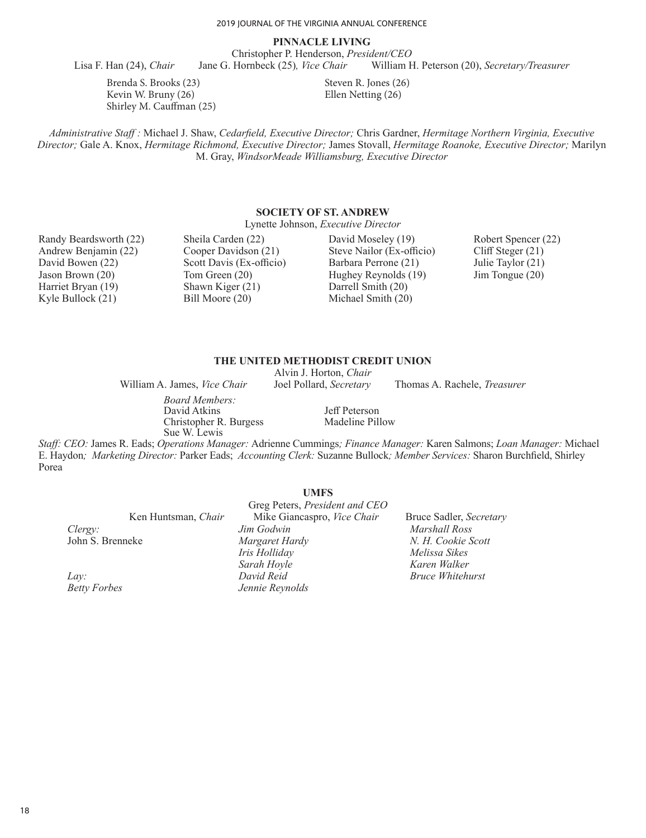# **PINNACLE LIVING**

Christopher P. Henderson, *President/CEO* Lisa F. Han (24), *Chair* Jane G. Hornbeck (25)*, Vice Chair* William H. Peterson (20), *Secretary/Treasurer* 

Brenda S. Brooks (23) Kevin W. Bruny (26) Shirley M. Cauffman (25) Steven R. Jones (26) Ellen Netting (26)

*Administrative Staff :* Michael J. Shaw, *Cedarfield, Executive Director;* Chris Gardner, *Hermitage Northern Virginia, Executive Director;* Gale A. Knox, *Hermitage Richmond, Executive Director;* James Stovall, *Hermitage Roanoke, Executive Director;* Marilyn M. Gray, *WindsorMeade Williamsburg, Executive Director*

#### **SOCIETY OF ST. ANDREW**

Lynette Johnson, *Executive Director*

Randy Beardsworth (22) Andrew Benjamin (22) David Bowen (22) Jason Brown (20) Harriet Bryan (19) Kyle Bullock (21)

Sheila Carden (22) Cooper Davidson (21) Scott Davis (Ex-officio) Tom Green (20) Shawn Kiger (21) Bill Moore (20)

David Moseley (19) Steve Nailor (Ex-officio) Barbara Perrone (21) Hughey Reynolds (19) Darrell Smith (20) Michael Smith (20)

Robert Spencer (22) Cliff Steger (21) Julie Taylor (21) Jim Tongue (20)

# **THE UNITED METHODIST CREDIT UNION**

Alvin J. Horton, *Chair*

William A. James, *Vice Chair* Joel Pollard, *Secretary* Thomas A. Rachele, *Treasurer*

*Board Members:* David Atkins Christopher R. Burgess Sue W. Lewis

Jeff Peterson Madeline Pillow

*Staff: CEO:* James R. Eads; *Operations Manager:* Adrienne Cummings*; Finance Manager:* Karen Salmons; *Loan Manager:* Michael E. Haydon*; Marketing Director:* Parker Eads; *Accounting Clerk:* Suzanne Bullock*; Member Services:* Sharon Burchfield, Shirley Porea

|                     | <b>UMFS</b>                    |                         |
|---------------------|--------------------------------|-------------------------|
|                     | Greg Peters, President and CEO |                         |
| Ken Huntsman, Chair | Mike Giancaspro, Vice Chair    | Bruce Sadler, Secretary |
| Clergy:             | Jim Godwin                     | Marshall Ross           |
| John S. Brenneke    | Margaret Hardy                 | N. H. Cookie Scott      |
|                     | Iris Holliday                  | Melissa Sikes           |
|                     | Sarah Hoyle                    | Karen Walker            |
| Lay:                | David Reid                     | <b>Bruce Whitehurst</b> |
| <b>Betty Forbes</b> | Jennie Reynolds                |                         |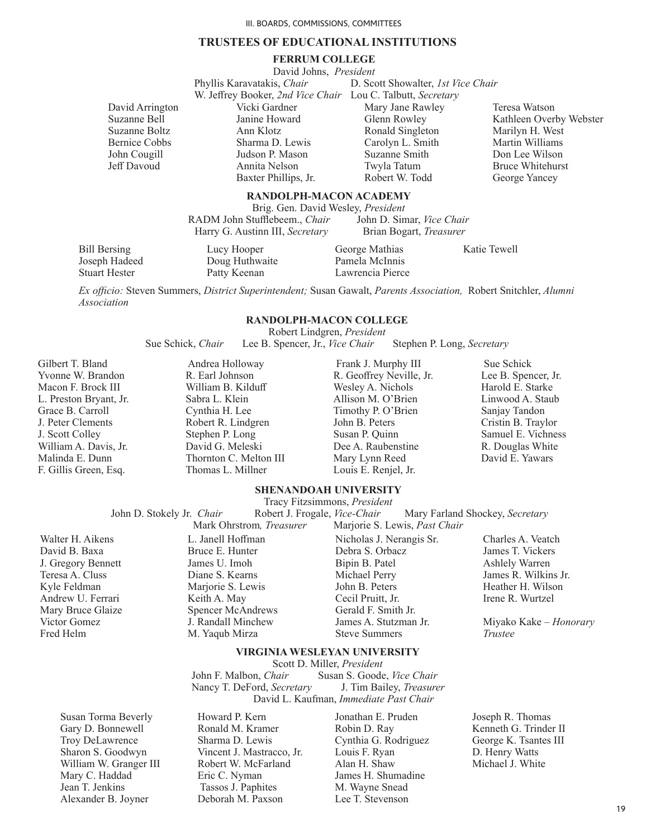#### **TRUSTEES OF EDUCATIONAL INSTITUTIONS**

#### **FERRUM COLLEGE**

David Johns, *President* Phyllis Karavatakis, *Chair* **D. Scott Showalter**, *1st Vice Chair* W. Jeffrey Booker, *2nd Vice Chair* Lou C. Talbutt, *Secretary* Vicki Gardner Janine Howard Ann Klotz Sharma D. Lewis Judson P. Mason Annita Nelson Baxter Phillips, Jr. Mary Jane Rawley Glenn Rowley Ronald Singleton Carolyn L. Smith Suzanne Smith Twyla Tatum Robert W. Todd

Teresa Watson Kathleen Overby Webster Marilyn H. West Martin Williams Don Lee Wilson Bruce Whitehurst George Yancey

#### **RANDOLPH-MACON ACADEMY**

Brig. Gen. David Wesley, *President* RADM John Stufflebeem., *Chair* Harry G. Austinn III, *Secretary* Brian Bogart, *Treasurer*

 Bill Bersing Joseph Hadeed Stuart Hester

David Arrington Suzanne Bell Suzanne Boltz Bernice Cobbs John Cougill Jeff Davoud

> Lucy Hooper Doug Huthwaite Patty Keenan

George Mathias Pamela McInnis Lawrencia Pierce Katie Tewell

*Ex officio:* Steven Summers, *District Superintendent;* Susan Gawalt, *Parents Association,* Robert Snitchler, *Alumni Association*

#### **RANDOLPH-MACON COLLEGE**

Robert Lindgren, *President*

Sue Schick, *Chair* Lee B. Spencer, Jr., *Vice Chair* Stephen P. Long, *Secretary* 

Gilbert T. Bland Yvonne W. Brandon Macon F. Brock III L. Preston Bryant, Jr. Grace B. Carroll J. Peter Clements J. Scott Colley William A. Davis, Jr. Malinda E. Dunn F. Gillis Green, Esq.

 Andrea Holloway R. Earl Johnson William B. Kilduff Sabra L. Klein Cynthia H. Lee Robert R. Lindgren Stephen P. Long David G. Meleski Thornton C. Melton III Thomas L. Millner

 Frank J. Murphy III R. Geoffrey Neville, Jr. Wesley A. Nichols Allison M. O'Brien Timothy P. O'Brien John B. Peters Susan P. Quinn Dee A. Raubenstine Mary Lynn Reed Louis E. Renjel, Jr.

 Sue Schick Lee B. Spencer, Jr. Harold E. Starke Linwood A. Staub Sanjay Tandon Cristin B. Traylor Samuel E. Vichness R. Douglas White David E. Yawars

# **SHENANDOAH UNIVERSITY**

Tracy Fitzsimmons, *President* John D. Stokely Jr. *Chair* Robert J. Frogale, *Vice-Chair* Mary Farland Shockey, *Secretary* 

Walter H. Aikens David B. Baxa J. Gregory Bennett Teresa A. Cluss Kyle Feldman Andrew U. Ferrari Mary Bruce Glaize Victor Gomez Fred Helm

Mark Ohrstrom*, Treasurer* Marjorie S. Lewis, *Past Chair* L. Janell Hoffman Bruce E. Hunter James U. Imoh Diane S. Kearns Marjorie S. Lewis Keith A. May Spencer McAndrews J. Randall Minchew M. Yaqub Mirza

Nicholas J. Nerangis Sr. Debra S. Orbacz Bipin B. Patel Michael Perry John B. Peters Cecil Pruitt, Jr. Gerald F. Smith Jr. James A. Stutzman Jr. Steve Summers

#### **VIRGINIA WESLEYAN UNIVERSITY**

Scott D. Miller, *President*

John F. Malbon, *Chair* Susan S. Goode, *Vice Chair* Nancy T. DeFord, *Secretary* J. Tim Bailey, *Treasurer* Nancy T. DeFord, *Secretary* David L. Kaufman, *Immediate Past Chair*

Susan Torma Beverly Gary D. Bonnewell Troy DeLawrence Sharon S. Goodwyn William W. Granger III Mary C. Haddad Jean T. Jenkins Alexander B. Joyner

Howard P. Kern Ronald M. Kramer Sharma D. Lewis Vincent J. Mastracco, Jr. Robert W. McFarland Eric C. Nyman Tassos J. Paphites Deborah M. Paxson

Jonathan E. Pruden Robin D. Ray Cynthia G. Rodriguez Louis F. Ryan Alan H. Shaw James H. Shumadine M. Wayne Snead Lee T. Stevenson

Charles A. Veatch James T. Vickers Ashlely Warren James R. Wilkins Jr. Heather H. Wilson Irene R. Wurtzel

Miyako Kake – *Honorary Trustee*

Joseph R. Thomas Kenneth G. Trinder II George K. Tsantes III D. Henry Watts Michael J. White